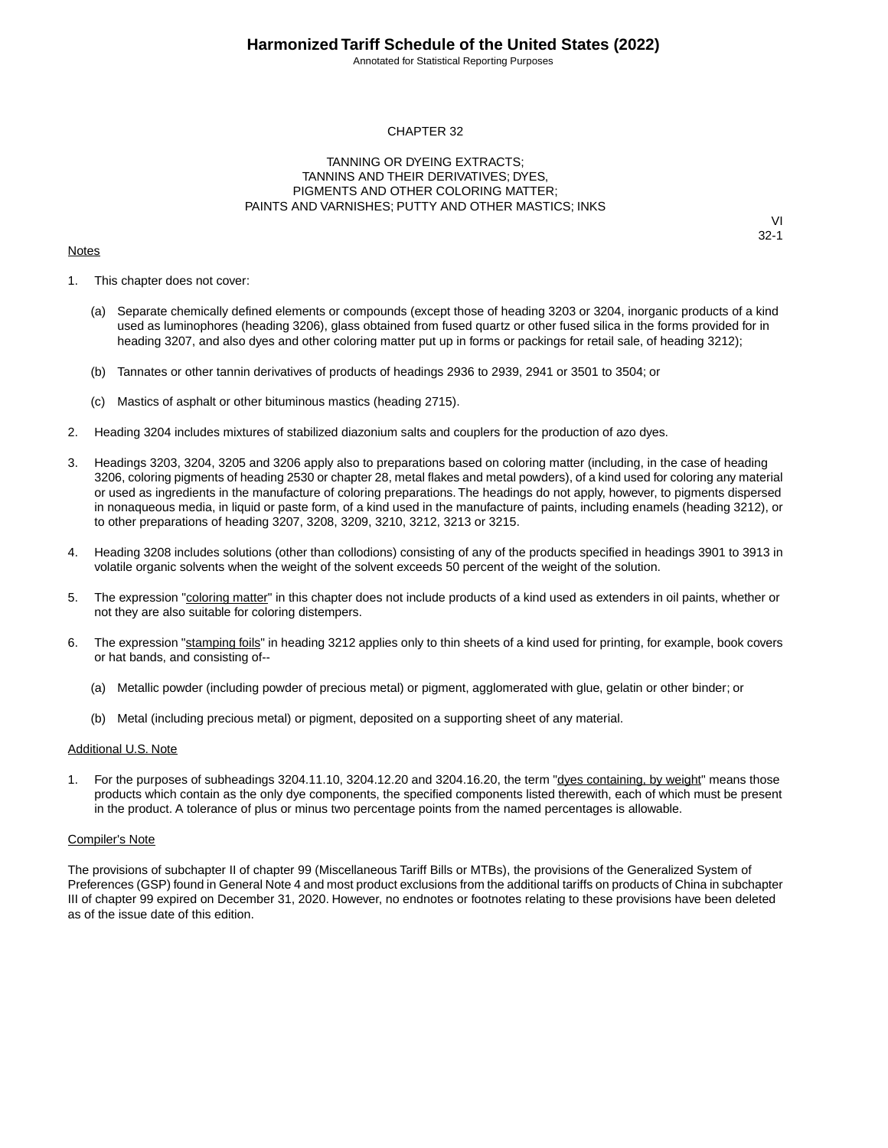Annotated for Statistical Reporting Purposes

#### CHAPTER 32

#### TANNING OR DYEING EXTRACTS; TANNINS AND THEIR DERIVATIVES; DYES, PIGMENTS AND OTHER COLORING MATTER; PAINTS AND VARNISHES; PUTTY AND OTHER MASTICS; INKS

#### **Notes**

VI 32-1

- 1. This chapter does not cover:
	- (a) Separate chemically defined elements or compounds (except those of heading 3203 or 3204, inorganic products of a kind used as luminophores (heading 3206), glass obtained from fused quartz or other fused silica in the forms provided for in heading 3207, and also dyes and other coloring matter put up in forms or packings for retail sale, of heading 3212);
	- (b) Tannates or other tannin derivatives of products of headings 2936 to 2939, 2941 or 3501 to 3504; or
	- (c) Mastics of asphalt or other bituminous mastics (heading 2715).
- 2. Heading 3204 includes mixtures of stabilized diazonium salts and couplers for the production of azo dyes.
- 3. Headings 3203, 3204, 3205 and 3206 apply also to preparations based on coloring matter (including, in the case of heading 3206, coloring pigments of heading 2530 or chapter 28, metal flakes and metal powders), of a kind used for coloring any material or used as ingredients in the manufacture of coloring preparations. The headings do not apply, however, to pigments dispersed in nonaqueous media, in liquid or paste form, of a kind used in the manufacture of paints, including enamels (heading 3212), or to other preparations of heading 3207, 3208, 3209, 3210, 3212, 3213 or 3215.
- 4. Heading 3208 includes solutions (other than collodions) consisting of any of the products specified in headings 3901 to 3913 in volatile organic solvents when the weight of the solvent exceeds 50 percent of the weight of the solution.
- 5. The expression "coloring matter" in this chapter does not include products of a kind used as extenders in oil paints, whether or not they are also suitable for coloring distempers.
- 6. The expression "stamping foils" in heading 3212 applies only to thin sheets of a kind used for printing, for example, book covers or hat bands, and consisting of--
	- (a) Metallic powder (including powder of precious metal) or pigment, agglomerated with glue, gelatin or other binder; or
	- (b) Metal (including precious metal) or pigment, deposited on a supporting sheet of any material.

#### Additional U.S. Note

For the purposes of subheadings 3204.11.10, 3204.12.20 and 3204.16.20, the term "dyes containing, by weight" means those products which contain as the only dye components, the specified components listed therewith, each of which must be present in the product. A tolerance of plus or minus two percentage points from the named percentages is allowable.

#### Compiler's Note

The provisions of subchapter II of chapter 99 (Miscellaneous Tariff Bills or MTBs), the provisions of the Generalized System of Preferences (GSP) found in General Note 4 and most product exclusions from the additional tariffs on products of China in subchapter III of chapter 99 expired on December 31, 2020. However, no endnotes or footnotes relating to these provisions have been deleted as of the issue date of this edition.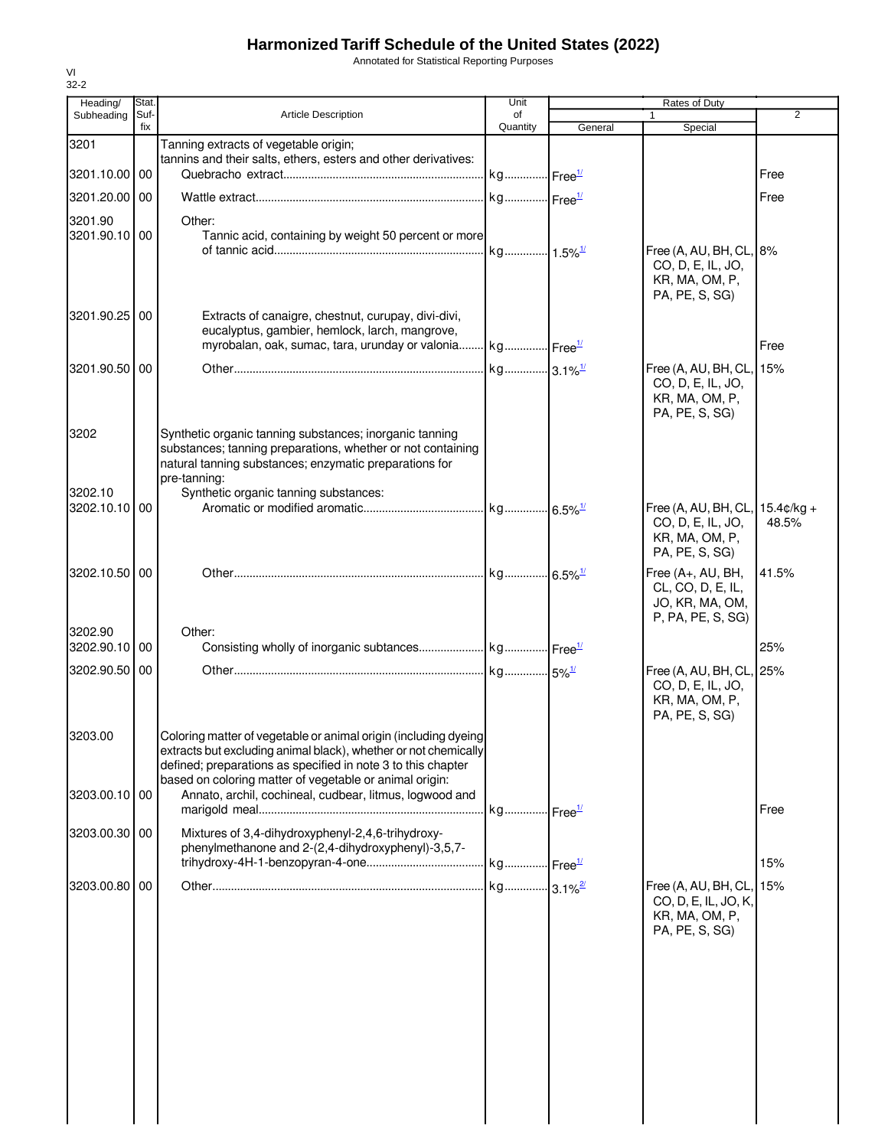Annotated for Statistical Reporting Purposes

| Heading/      | Stat.       |                                                                                                                       | Unit                  |         | Rates of Duty                                 |                |
|---------------|-------------|-----------------------------------------------------------------------------------------------------------------------|-----------------------|---------|-----------------------------------------------|----------------|
| Subheading    | Suf-<br>fix | <b>Article Description</b>                                                                                            | of<br>Quantity        | General | Special                                       | $\overline{2}$ |
| 3201          |             | Tanning extracts of vegetable origin;                                                                                 |                       |         |                                               |                |
|               |             | tannins and their salts, ethers, esters and other derivatives:                                                        |                       |         |                                               |                |
| 3201.10.00 00 |             |                                                                                                                       | kg Free <sup>1/</sup> |         |                                               | Free           |
| 3201.20.00 00 |             |                                                                                                                       | kg Free <sup>1/</sup> |         |                                               | Free           |
| 3201.90       |             | Other:                                                                                                                |                       |         |                                               |                |
| 3201.90.10 00 |             | Tannic acid, containing by weight 50 percent or more                                                                  |                       |         |                                               |                |
|               |             |                                                                                                                       | kg 1.5% <sup>1/</sup> |         | Free (A, AU, BH, CL, 8%<br>CO, D, E, IL, JO,  |                |
|               |             |                                                                                                                       |                       |         | KR, MA, OM, P,                                |                |
|               |             |                                                                                                                       |                       |         | PA, PE, S, SG)                                |                |
| 3201.90.25 00 |             | Extracts of canaigre, chestnut, curupay, divi-divi,                                                                   |                       |         |                                               |                |
|               |             | eucalyptus, gambier, hemlock, larch, mangrove,<br>myrobalan, oak, sumac, tara, urunday or valonia                     | kg Free <sup>1/</sup> |         |                                               | Free           |
|               |             |                                                                                                                       |                       |         |                                               |                |
| 3201.90.50 00 |             |                                                                                                                       |                       |         | Free (A, AU, BH, CL, 15%<br>CO, D, E, IL, JO, |                |
|               |             |                                                                                                                       |                       |         | KR, MA, OM, P,                                |                |
|               |             |                                                                                                                       |                       |         | PA, PE, S, SG)                                |                |
| 3202          |             | Synthetic organic tanning substances; inorganic tanning                                                               |                       |         |                                               |                |
|               |             | substances; tanning preparations, whether or not containing<br>natural tanning substances; enzymatic preparations for |                       |         |                                               |                |
|               |             | pre-tanning:                                                                                                          |                       |         |                                               |                |
| 3202.10       |             | Synthetic organic tanning substances:                                                                                 |                       |         |                                               |                |
| 3202.10.10 00 |             |                                                                                                                       |                       |         | Free (A, AU, BH, CL, 15.4¢/kg +               | 48.5%          |
|               |             |                                                                                                                       |                       |         | CO, D, E, IL, JO,<br>KR, MA, OM, P,           |                |
|               |             |                                                                                                                       |                       |         | PA, PE, S, SG)                                |                |
| 3202.10.50 00 |             |                                                                                                                       |                       |         | Free (A+, AU, BH,                             | 41.5%          |
|               |             |                                                                                                                       |                       |         | CL, CO, D, E, IL,                             |                |
|               |             |                                                                                                                       |                       |         | JO, KR, MA, OM,<br>P, PA, PE, S, SG)          |                |
| 3202.90       |             | Other:                                                                                                                |                       |         |                                               |                |
| 3202.90.10 00 |             |                                                                                                                       |                       |         |                                               | 25%            |
| 3202.90.50    | 00          |                                                                                                                       |                       |         | Free (A, AU, BH, CL, 25%                      |                |
|               |             |                                                                                                                       |                       |         | CO, D, E, IL, JO,                             |                |
|               |             |                                                                                                                       |                       |         | KR, MA, OM, P,<br>PA, PE, S, SG)              |                |
| 3203.00       |             | Coloring matter of vegetable or animal origin (including dyeing                                                       |                       |         |                                               |                |
|               |             | extracts but excluding animal black), whether or not chemically                                                       |                       |         |                                               |                |
|               |             | defined; preparations as specified in note 3 to this chapter                                                          |                       |         |                                               |                |
| 3203.00.10 00 |             | based on coloring matter of vegetable or animal origin:<br>Annato, archil, cochineal, cudbear, litmus, logwood and    |                       |         |                                               |                |
|               |             |                                                                                                                       | kg Free <sup>1/</sup> |         |                                               | Free           |
| 3203.00.30 00 |             | Mixtures of 3,4-dihydroxyphenyl-2,4,6-trihydroxy-                                                                     |                       |         |                                               |                |
|               |             | phenylmethanone and 2-(2,4-dihydroxyphenyl)-3,5,7-                                                                    |                       |         |                                               |                |
|               |             |                                                                                                                       |                       |         |                                               | 15%            |
| 3203.00.80    | 00          |                                                                                                                       |                       |         | Free (A, AU, BH, CL,                          | 15%            |
|               |             |                                                                                                                       |                       |         | CO, D, E, IL, JO, K,                          |                |
|               |             |                                                                                                                       |                       |         | KR, MA, OM, P,<br>PA, PE, S, SG)              |                |
|               |             |                                                                                                                       |                       |         |                                               |                |
|               |             |                                                                                                                       |                       |         |                                               |                |
|               |             |                                                                                                                       |                       |         |                                               |                |
|               |             |                                                                                                                       |                       |         |                                               |                |
|               |             |                                                                                                                       |                       |         |                                               |                |
|               |             |                                                                                                                       |                       |         |                                               |                |
|               |             |                                                                                                                       |                       |         |                                               |                |
|               |             |                                                                                                                       |                       |         |                                               |                |
|               |             |                                                                                                                       |                       |         |                                               |                |
|               |             |                                                                                                                       |                       |         |                                               |                |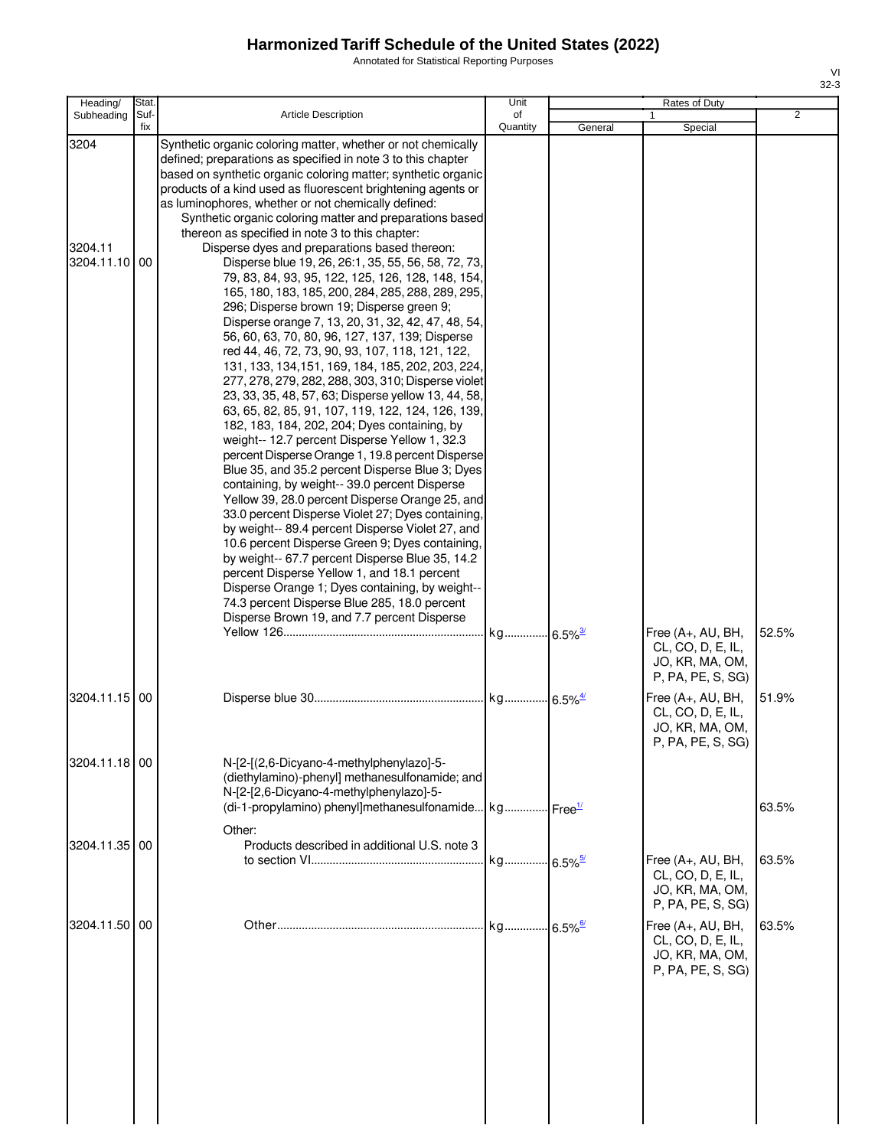Annotated for Statistical Reporting Purposes

| Heading/                         | Stat. |                                                                                                                                                                                                                                                                                                                                                                                                                                                                                                                                                                                                                                                                                                                                                                                                                                                                                                                                                                                                                                                                                                                                                                                                                                                                                                                                                                                                                                                                                                                                                                                                                                                                                                                                                                                                                   | Unit     |         | Rates of Duty                                                                                                                               |                |
|----------------------------------|-------|-------------------------------------------------------------------------------------------------------------------------------------------------------------------------------------------------------------------------------------------------------------------------------------------------------------------------------------------------------------------------------------------------------------------------------------------------------------------------------------------------------------------------------------------------------------------------------------------------------------------------------------------------------------------------------------------------------------------------------------------------------------------------------------------------------------------------------------------------------------------------------------------------------------------------------------------------------------------------------------------------------------------------------------------------------------------------------------------------------------------------------------------------------------------------------------------------------------------------------------------------------------------------------------------------------------------------------------------------------------------------------------------------------------------------------------------------------------------------------------------------------------------------------------------------------------------------------------------------------------------------------------------------------------------------------------------------------------------------------------------------------------------------------------------------------------------|----------|---------|---------------------------------------------------------------------------------------------------------------------------------------------|----------------|
| Subheading                       | Suf-  | <b>Article Description</b>                                                                                                                                                                                                                                                                                                                                                                                                                                                                                                                                                                                                                                                                                                                                                                                                                                                                                                                                                                                                                                                                                                                                                                                                                                                                                                                                                                                                                                                                                                                                                                                                                                                                                                                                                                                        | of       |         |                                                                                                                                             | $\overline{2}$ |
| 3204<br>3204.11<br>3204.11.10 00 | fix   | Synthetic organic coloring matter, whether or not chemically<br>defined; preparations as specified in note 3 to this chapter<br>based on synthetic organic coloring matter; synthetic organic<br>products of a kind used as fluorescent brightening agents or<br>as luminophores, whether or not chemically defined:<br>Synthetic organic coloring matter and preparations based<br>thereon as specified in note 3 to this chapter:<br>Disperse dyes and preparations based thereon:<br>Disperse blue 19, 26, 26:1, 35, 55, 56, 58, 72, 73,<br>79, 83, 84, 93, 95, 122, 125, 126, 128, 148, 154,<br>165, 180, 183, 185, 200, 284, 285, 288, 289, 295,<br>296; Disperse brown 19; Disperse green 9;<br>Disperse orange 7, 13, 20, 31, 32, 42, 47, 48, 54,<br>56, 60, 63, 70, 80, 96, 127, 137, 139; Disperse<br>red 44, 46, 72, 73, 90, 93, 107, 118, 121, 122,<br>131, 133, 134, 151, 169, 184, 185, 202, 203, 224,<br>277, 278, 279, 282, 288, 303, 310; Disperse violet<br>23, 33, 35, 48, 57, 63; Disperse yellow 13, 44, 58,<br>63, 65, 82, 85, 91, 107, 119, 122, 124, 126, 139,<br>182, 183, 184, 202, 204; Dyes containing, by<br>weight-- 12.7 percent Disperse Yellow 1, 32.3<br>percent Disperse Orange 1, 19.8 percent Disperse<br>Blue 35, and 35.2 percent Disperse Blue 3; Dyes<br>containing, by weight-- 39.0 percent Disperse<br>Yellow 39, 28.0 percent Disperse Orange 25, and<br>33.0 percent Disperse Violet 27; Dyes containing,<br>by weight-- 89.4 percent Disperse Violet 27, and<br>10.6 percent Disperse Green 9; Dyes containing,<br>by weight-- 67.7 percent Disperse Blue 35, 14.2<br>percent Disperse Yellow 1, and 18.1 percent<br>Disperse Orange 1; Dyes containing, by weight--<br>74.3 percent Disperse Blue 285, 18.0 percent<br>Disperse Brown 19, and 7.7 percent Disperse | Quantity | General | Special<br>Free (A+, AU, BH,                                                                                                                | 52.5%          |
| 3204.11.15 00                    |       |                                                                                                                                                                                                                                                                                                                                                                                                                                                                                                                                                                                                                                                                                                                                                                                                                                                                                                                                                                                                                                                                                                                                                                                                                                                                                                                                                                                                                                                                                                                                                                                                                                                                                                                                                                                                                   |          |         | CL, CO, D, E, IL,<br>JO, KR, MA, OM,<br>P, PA, PE, S, SG)<br>Free (A+, AU, BH,<br>CL, CO, D, E, IL,<br>JO, KR, MA, OM,<br>P, PA, PE, S, SG) | 51.9%          |
| 3204.11.18 00                    |       | N-[2-[(2,6-Dicyano-4-methylphenylazo]-5-<br>(diethylamino)-phenyl] methanesulfonamide; and<br>N-[2-[2,6-Dicyano-4-methylphenylazo]-5-<br>(di-1-propylamino) phenyl]methanesulfonamide kg Free <sup>1/</sup>                                                                                                                                                                                                                                                                                                                                                                                                                                                                                                                                                                                                                                                                                                                                                                                                                                                                                                                                                                                                                                                                                                                                                                                                                                                                                                                                                                                                                                                                                                                                                                                                       |          |         |                                                                                                                                             | 63.5%          |
| 3204.11.35 00                    |       | Other:<br>Products described in additional U.S. note 3                                                                                                                                                                                                                                                                                                                                                                                                                                                                                                                                                                                                                                                                                                                                                                                                                                                                                                                                                                                                                                                                                                                                                                                                                                                                                                                                                                                                                                                                                                                                                                                                                                                                                                                                                            |          |         | Free (A+, AU, BH,<br>CL, CO, D, E, IL,<br>JO, KR, MA, OM,<br>P, PA, PE, S, SG)                                                              | 63.5%          |
| 3204.11.50 00                    |       |                                                                                                                                                                                                                                                                                                                                                                                                                                                                                                                                                                                                                                                                                                                                                                                                                                                                                                                                                                                                                                                                                                                                                                                                                                                                                                                                                                                                                                                                                                                                                                                                                                                                                                                                                                                                                   |          |         | Free (A+, AU, BH,<br>CL, CO, D, E, IL,<br>JO, KR, MA, OM,<br>P, PA, PE, S, SG)                                                              | 63.5%          |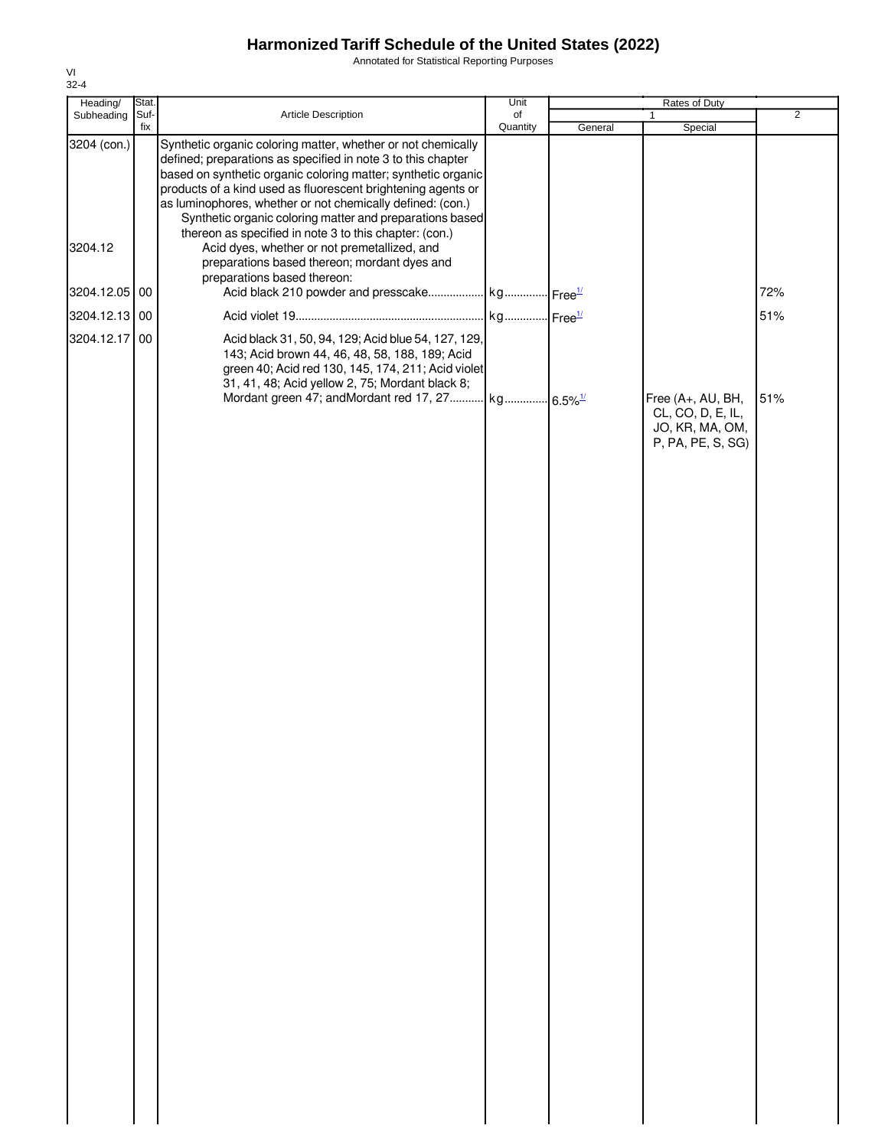Annotated for Statistical Reporting Purposes

| Heading/      | Stat.       |                                                                                                                                                                                                                                                                                                                                                                                         | Unit           |         | Rates of Duty                                                                  |                |
|---------------|-------------|-----------------------------------------------------------------------------------------------------------------------------------------------------------------------------------------------------------------------------------------------------------------------------------------------------------------------------------------------------------------------------------------|----------------|---------|--------------------------------------------------------------------------------|----------------|
| Subheading    | Suf-<br>fix | Article Description                                                                                                                                                                                                                                                                                                                                                                     | of<br>Quantity | General | 1<br>Special                                                                   | $\overline{2}$ |
| 3204 (con.)   |             | Synthetic organic coloring matter, whether or not chemically<br>defined; preparations as specified in note 3 to this chapter<br>based on synthetic organic coloring matter; synthetic organic<br>products of a kind used as fluorescent brightening agents or<br>as luminophores, whether or not chemically defined: (con.)<br>Synthetic organic coloring matter and preparations based |                |         |                                                                                |                |
| 3204.12       |             | thereon as specified in note 3 to this chapter: (con.)<br>Acid dyes, whether or not premetallized, and<br>preparations based thereon; mordant dyes and<br>preparations based thereon:                                                                                                                                                                                                   |                |         |                                                                                |                |
| 3204.12.05 00 |             | Acid black 210 powder and presscake kg Free <sup>1/</sup>                                                                                                                                                                                                                                                                                                                               |                |         |                                                                                | 72%            |
| 3204.12.13 00 |             |                                                                                                                                                                                                                                                                                                                                                                                         |                |         |                                                                                | 51%            |
| 3204.12.17    | 00          | Acid black 31, 50, 94, 129; Acid blue 54, 127, 129,<br>143; Acid brown 44, 46, 48, 58, 188, 189; Acid<br>green 40; Acid red 130, 145, 174, 211; Acid violet<br>31, 41, 48; Acid yellow 2, 75; Mordant black 8;                                                                                                                                                                          |                |         |                                                                                |                |
|               |             | Mordant green 47; andMordant red 17, 27 kg 6.5% <sup>1/</sup>                                                                                                                                                                                                                                                                                                                           |                |         | Free (A+, AU, BH,<br>CL, CO, D, E, IL,<br>JO, KR, MA, OM,<br>P, PA, PE, S, SG) | 51%            |
|               |             |                                                                                                                                                                                                                                                                                                                                                                                         |                |         |                                                                                |                |
|               |             |                                                                                                                                                                                                                                                                                                                                                                                         |                |         |                                                                                |                |
|               |             |                                                                                                                                                                                                                                                                                                                                                                                         |                |         |                                                                                |                |
|               |             |                                                                                                                                                                                                                                                                                                                                                                                         |                |         |                                                                                |                |
|               |             |                                                                                                                                                                                                                                                                                                                                                                                         |                |         |                                                                                |                |
|               |             |                                                                                                                                                                                                                                                                                                                                                                                         |                |         |                                                                                |                |
|               |             |                                                                                                                                                                                                                                                                                                                                                                                         |                |         |                                                                                |                |
|               |             |                                                                                                                                                                                                                                                                                                                                                                                         |                |         |                                                                                |                |
|               |             |                                                                                                                                                                                                                                                                                                                                                                                         |                |         |                                                                                |                |
|               |             |                                                                                                                                                                                                                                                                                                                                                                                         |                |         |                                                                                |                |
|               |             |                                                                                                                                                                                                                                                                                                                                                                                         |                |         |                                                                                |                |
|               |             |                                                                                                                                                                                                                                                                                                                                                                                         |                |         |                                                                                |                |
|               |             |                                                                                                                                                                                                                                                                                                                                                                                         |                |         |                                                                                |                |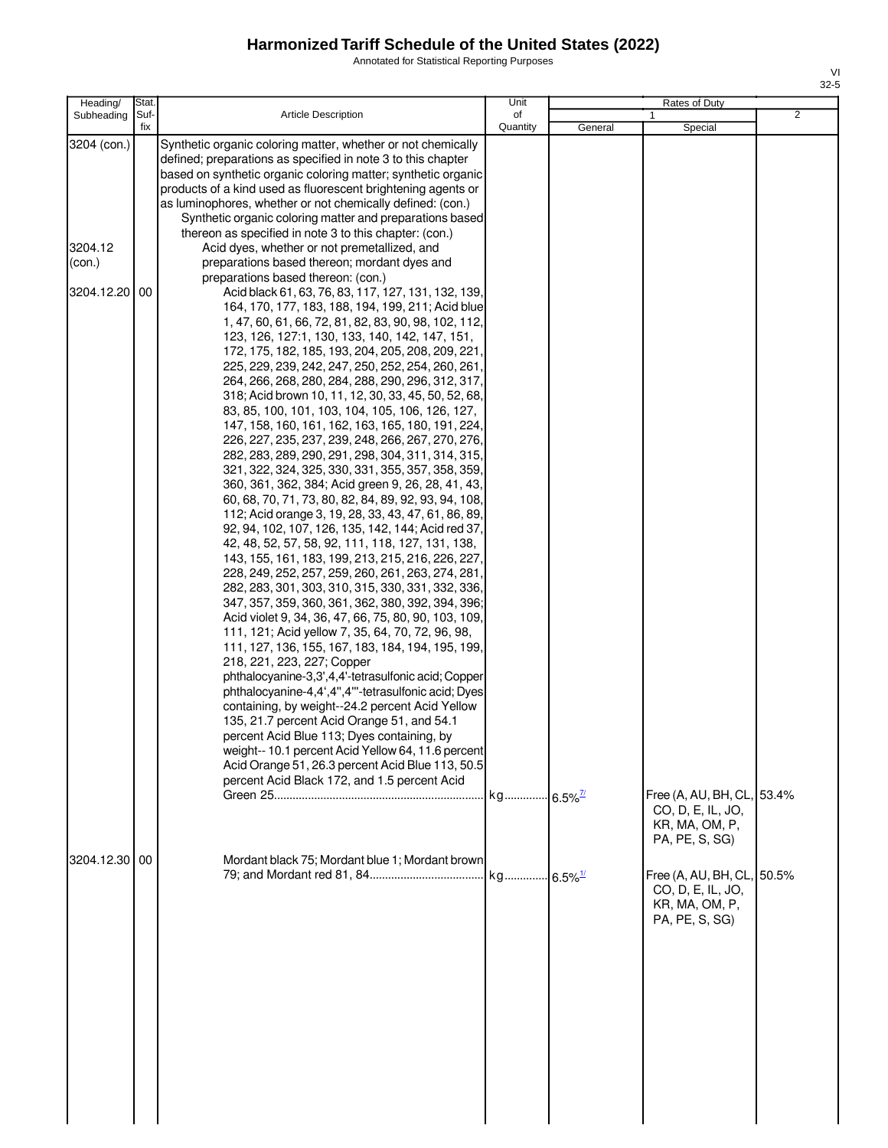Annotated for Statistical Reporting Purposes

| Heading/                                          | Stat.       |                                                                                                                                                                                                                                                                                                                                                                                                                                                                                                                                                                                                                                                                                                                                                                                                                                                                                                                                                                                                                                                                                                                                                                                                                                                                                                                                                                                                                                                                                                                                                                                                                                                                                                                                                                                                                                                                                                                                                                                                                                                                                                                                                                                                                                                                                                                                                                                                                                   | Unit                   |         | Rates of Duty                                                                       |   |
|---------------------------------------------------|-------------|-----------------------------------------------------------------------------------------------------------------------------------------------------------------------------------------------------------------------------------------------------------------------------------------------------------------------------------------------------------------------------------------------------------------------------------------------------------------------------------------------------------------------------------------------------------------------------------------------------------------------------------------------------------------------------------------------------------------------------------------------------------------------------------------------------------------------------------------------------------------------------------------------------------------------------------------------------------------------------------------------------------------------------------------------------------------------------------------------------------------------------------------------------------------------------------------------------------------------------------------------------------------------------------------------------------------------------------------------------------------------------------------------------------------------------------------------------------------------------------------------------------------------------------------------------------------------------------------------------------------------------------------------------------------------------------------------------------------------------------------------------------------------------------------------------------------------------------------------------------------------------------------------------------------------------------------------------------------------------------------------------------------------------------------------------------------------------------------------------------------------------------------------------------------------------------------------------------------------------------------------------------------------------------------------------------------------------------------------------------------------------------------------------------------------------------|------------------------|---------|-------------------------------------------------------------------------------------|---|
| Subheading                                        | Suf-<br>fix | <b>Article Description</b>                                                                                                                                                                                                                                                                                                                                                                                                                                                                                                                                                                                                                                                                                                                                                                                                                                                                                                                                                                                                                                                                                                                                                                                                                                                                                                                                                                                                                                                                                                                                                                                                                                                                                                                                                                                                                                                                                                                                                                                                                                                                                                                                                                                                                                                                                                                                                                                                        | of<br>Quantity         | General | Special                                                                             | 2 |
| 3204 (con.)<br>3204.12<br>(con.)<br>3204.12.20 00 |             | Synthetic organic coloring matter, whether or not chemically<br>defined; preparations as specified in note 3 to this chapter<br>based on synthetic organic coloring matter; synthetic organic<br>products of a kind used as fluorescent brightening agents or<br>as luminophores, whether or not chemically defined: (con.)<br>Synthetic organic coloring matter and preparations based<br>thereon as specified in note 3 to this chapter: (con.)<br>Acid dyes, whether or not premetallized, and<br>preparations based thereon; mordant dyes and<br>preparations based thereon: (con.)<br>Acid black 61, 63, 76, 83, 117, 127, 131, 132, 139,<br>164, 170, 177, 183, 188, 194, 199, 211; Acid blue<br>1, 47, 60, 61, 66, 72, 81, 82, 83, 90, 98, 102, 112,<br>123, 126, 127:1, 130, 133, 140, 142, 147, 151,<br>172, 175, 182, 185, 193, 204, 205, 208, 209, 221,<br>225, 229, 239, 242, 247, 250, 252, 254, 260, 261,<br>264, 266, 268, 280, 284, 288, 290, 296, 312, 317,<br>318; Acid brown 10, 11, 12, 30, 33, 45, 50, 52, 68,<br>83, 85, 100, 101, 103, 104, 105, 106, 126, 127,<br>147, 158, 160, 161, 162, 163, 165, 180, 191, 224,<br>226, 227, 235, 237, 239, 248, 266, 267, 270, 276,<br>282, 283, 289, 290, 291, 298, 304, 311, 314, 315,<br>321, 322, 324, 325, 330, 331, 355, 357, 358, 359,<br>360, 361, 362, 384; Acid green 9, 26, 28, 41, 43,<br>60, 68, 70, 71, 73, 80, 82, 84, 89, 92, 93, 94, 108,<br>112; Acid orange 3, 19, 28, 33, 43, 47, 61, 86, 89,<br>92, 94, 102, 107, 126, 135, 142, 144; Acid red 37,<br>42, 48, 52, 57, 58, 92, 111, 118, 127, 131, 138,<br>143, 155, 161, 183, 199, 213, 215, 216, 226, 227<br>228, 249, 252, 257, 259, 260, 261, 263, 274, 281,<br>282, 283, 301, 303, 310, 315, 330, 331, 332, 336,<br>347, 357, 359, 360, 361, 362, 380, 392, 394, 396;<br>Acid violet 9, 34, 36, 47, 66, 75, 80, 90, 103, 109,<br>111, 121; Acid yellow 7, 35, 64, 70, 72, 96, 98,<br>111, 127, 136, 155, 167, 183, 184, 194, 195, 199,<br>218, 221, 223, 227; Copper<br>phthalocyanine-3,3',4,4'-tetrasulfonic acid; Copper<br>phthalocyanine-4,4',4",4"'-tetrasulfonic acid; Dyes<br>containing, by weight--24.2 percent Acid Yellow<br>135, 21.7 percent Acid Orange 51, and 54.1<br>percent Acid Blue 113; Dyes containing, by<br>weight-- 10.1 percent Acid Yellow 64, 11.6 percent<br>Acid Orange 51, 26.3 percent Acid Blue 113, 50.5<br>percent Acid Black 172, and 1.5 percent Acid | kg 6.5% <sup>7/1</sup> |         | Free (A, AU, BH, CL, 53.4%<br>CO, D, E, IL, JO,<br>KR, MA, OM, P,<br>PA, PE, S, SG) |   |
| 3204.12.30 00                                     |             | Mordant black 75; Mordant blue 1; Mordant brown                                                                                                                                                                                                                                                                                                                                                                                                                                                                                                                                                                                                                                                                                                                                                                                                                                                                                                                                                                                                                                                                                                                                                                                                                                                                                                                                                                                                                                                                                                                                                                                                                                                                                                                                                                                                                                                                                                                                                                                                                                                                                                                                                                                                                                                                                                                                                                                   | kg 6.5% <sup>1/</sup>  |         | Free (A, AU, BH, CL, 50.5%<br>CO, D, E, IL, JO,<br>KR, MA, OM, P,<br>PA, PE, S, SG) |   |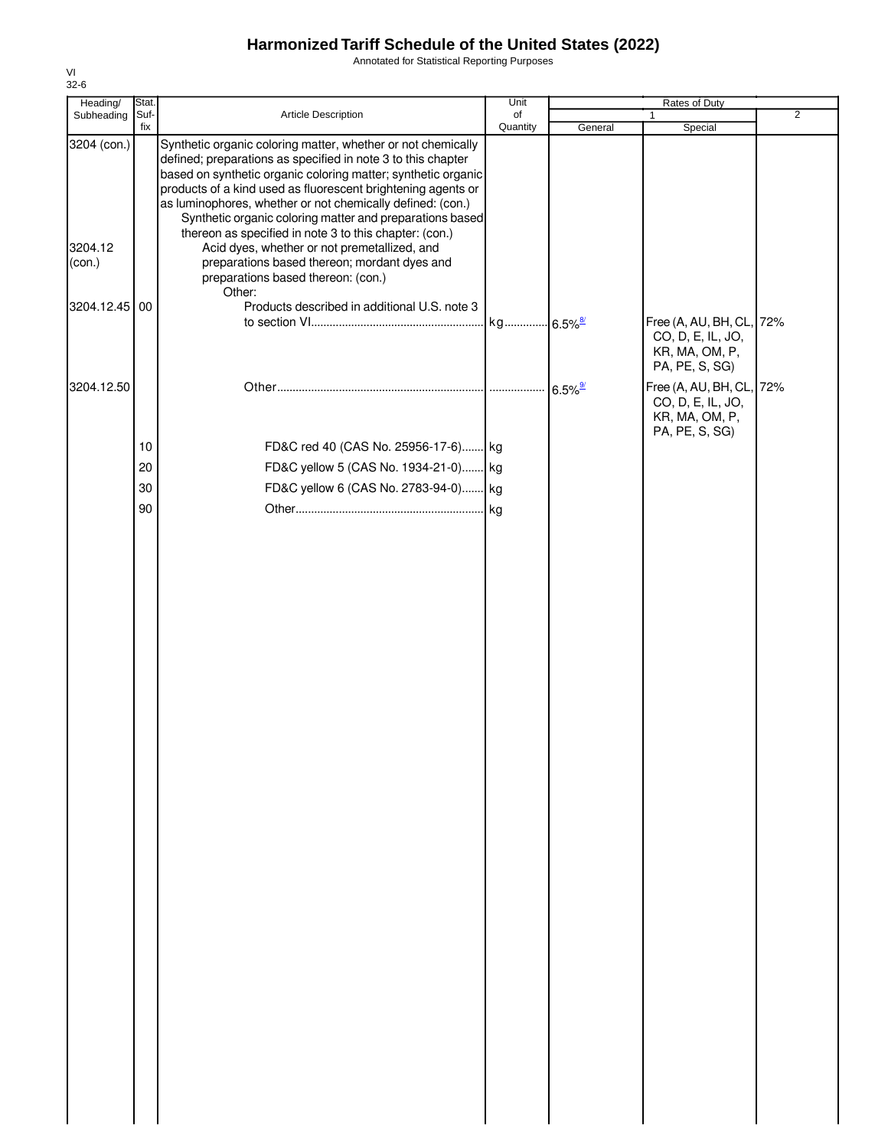Annotated for Statistical Reporting Purposes

| Heading/                         | Stat.      |                                                                                                                                                                                                                                                                                                                                                                                                                                                                                                                                                   | Unit     |                       | Rates of Duty                                                                     |                |
|----------------------------------|------------|---------------------------------------------------------------------------------------------------------------------------------------------------------------------------------------------------------------------------------------------------------------------------------------------------------------------------------------------------------------------------------------------------------------------------------------------------------------------------------------------------------------------------------------------------|----------|-----------------------|-----------------------------------------------------------------------------------|----------------|
| Subheading                       | Suf-       | Article Description                                                                                                                                                                                                                                                                                                                                                                                                                                                                                                                               | of       |                       | $\mathbf{1}$                                                                      | $\overline{2}$ |
| 3204 (con.)<br>3204.12<br>(con.) | fix        | Synthetic organic coloring matter, whether or not chemically<br>defined; preparations as specified in note 3 to this chapter<br>based on synthetic organic coloring matter; synthetic organic<br>products of a kind used as fluorescent brightening agents or<br>as luminophores, whether or not chemically defined: (con.)<br>Synthetic organic coloring matter and preparations based<br>thereon as specified in note 3 to this chapter: (con.)<br>Acid dyes, whether or not premetallized, and<br>preparations based thereon; mordant dyes and | Quantity | General               | Special                                                                           |                |
|                                  |            | preparations based thereon: (con.)                                                                                                                                                                                                                                                                                                                                                                                                                                                                                                                |          |                       |                                                                                   |                |
|                                  |            | Other:                                                                                                                                                                                                                                                                                                                                                                                                                                                                                                                                            |          |                       |                                                                                   |                |
| 3204.12.45                       | 00         | Products described in additional U.S. note 3                                                                                                                                                                                                                                                                                                                                                                                                                                                                                                      |          |                       | Free (A, AU, BH, CL, 72%<br>CO, D, E, IL, JO,<br>KR, MA, OM, P,<br>PA, PE, S, SG) |                |
| 3204.12.50                       |            |                                                                                                                                                                                                                                                                                                                                                                                                                                                                                                                                                   |          | $6.5\%$ <sup>9/</sup> | Free (A, AU, BH, CL, 72%                                                          |                |
|                                  | $10$<br>20 | FD&C red 40 (CAS No. 25956-17-6) kg<br>FD&C yellow 5 (CAS No. 1934-21-0) kg                                                                                                                                                                                                                                                                                                                                                                                                                                                                       |          |                       | CO, D, E, IL, JO,<br>KR, MA, OM, P,<br>PA, PE, S, SG)                             |                |
|                                  | 30         | FD&C yellow 6 (CAS No. 2783-94-0) kg                                                                                                                                                                                                                                                                                                                                                                                                                                                                                                              |          |                       |                                                                                   |                |
|                                  | 90         |                                                                                                                                                                                                                                                                                                                                                                                                                                                                                                                                                   |          |                       |                                                                                   |                |
|                                  |            |                                                                                                                                                                                                                                                                                                                                                                                                                                                                                                                                                   |          |                       |                                                                                   |                |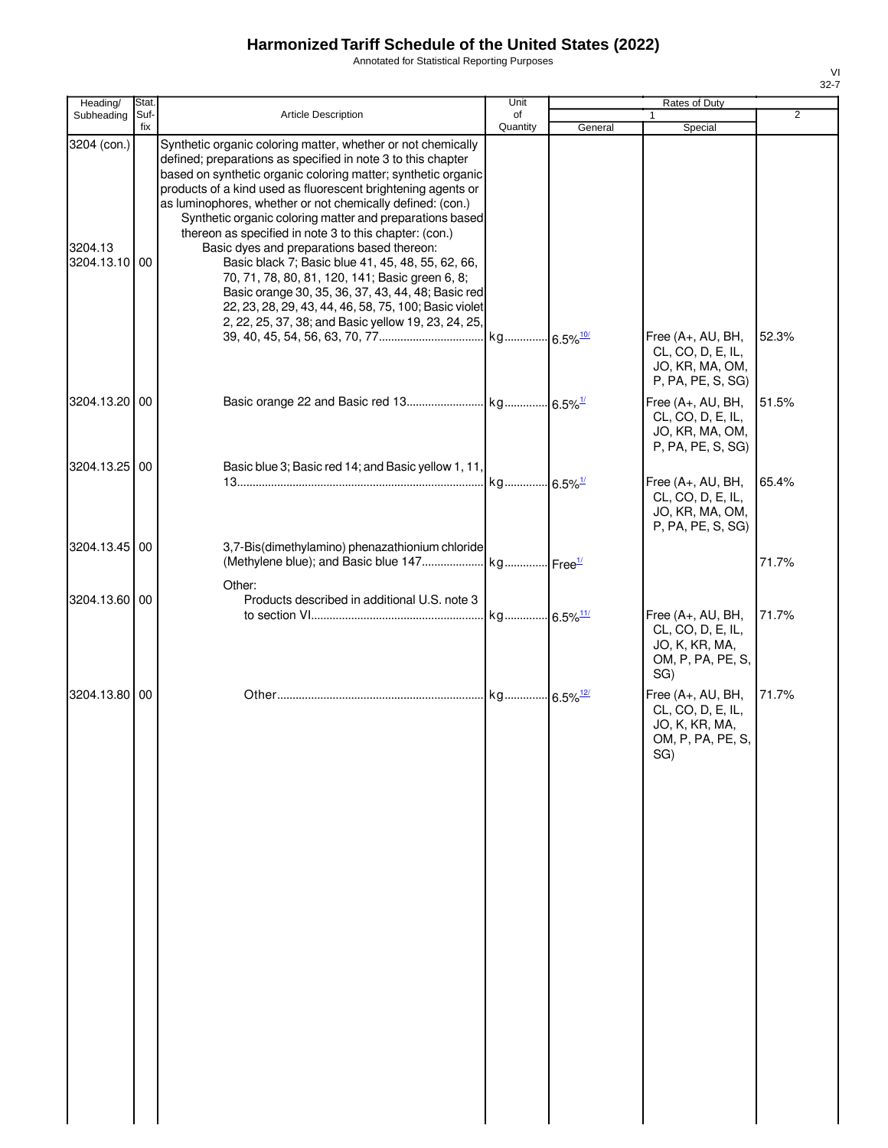Annotated for Statistical Reporting Purposes

| Heading/                                | Stat.       |                                                                                                                                                                                                                                                                                                                                                                                                                                                                                                                                                                                                                                                                                                                                                                               | Unit     |         | Rates of Duty                                                                                                            |                |
|-----------------------------------------|-------------|-------------------------------------------------------------------------------------------------------------------------------------------------------------------------------------------------------------------------------------------------------------------------------------------------------------------------------------------------------------------------------------------------------------------------------------------------------------------------------------------------------------------------------------------------------------------------------------------------------------------------------------------------------------------------------------------------------------------------------------------------------------------------------|----------|---------|--------------------------------------------------------------------------------------------------------------------------|----------------|
| Subheading                              | Suf-<br>fix | Article Description                                                                                                                                                                                                                                                                                                                                                                                                                                                                                                                                                                                                                                                                                                                                                           | of       |         | 1                                                                                                                        | $\overline{2}$ |
| 3204 (con.)<br>3204.13<br>3204.13.10 00 |             | Synthetic organic coloring matter, whether or not chemically<br>defined; preparations as specified in note 3 to this chapter<br>based on synthetic organic coloring matter; synthetic organic<br>products of a kind used as fluorescent brightening agents or<br>as luminophores, whether or not chemically defined: (con.)<br>Synthetic organic coloring matter and preparations based<br>thereon as specified in note 3 to this chapter: (con.)<br>Basic dyes and preparations based thereon:<br>Basic black 7; Basic blue 41, 45, 48, 55, 62, 66,<br>70, 71, 78, 80, 81, 120, 141; Basic green 6, 8;<br>Basic orange 30, 35, 36, 37, 43, 44, 48; Basic red<br>22, 23, 28, 29, 43, 44, 46, 58, 75, 100; Basic violet<br>2, 22, 25, 37, 38; and Basic yellow 19, 23, 24, 25, | Quantity | General | Special                                                                                                                  |                |
| 3204.13.20 00                           |             |                                                                                                                                                                                                                                                                                                                                                                                                                                                                                                                                                                                                                                                                                                                                                                               |          |         | Free (A+, AU, BH,<br>CL, CO, D, E, IL,<br>JO, KR, MA, OM,<br>P, PA, PE, S, SG)<br>Free (A+, AU, BH,<br>CL, CO, D, E, IL, | 52.3%<br>51.5% |
| 3204.13.25 00                           |             | Basic blue 3; Basic red 14; and Basic yellow 1, 11,                                                                                                                                                                                                                                                                                                                                                                                                                                                                                                                                                                                                                                                                                                                           |          |         | JO, KR, MA, OM,<br>P, PA, PE, S, SG)                                                                                     |                |
|                                         |             |                                                                                                                                                                                                                                                                                                                                                                                                                                                                                                                                                                                                                                                                                                                                                                               |          |         | Free (A+, AU, BH,<br>CL, CO, D, E, IL,<br>JO, KR, MA, OM,<br>P, PA, PE, S, SG)                                           | 65.4%          |
| 3204.13.45 00                           |             | 3,7-Bis(dimethylamino) phenazathionium chloride<br>Other:                                                                                                                                                                                                                                                                                                                                                                                                                                                                                                                                                                                                                                                                                                                     |          |         |                                                                                                                          | 71.7%          |
| 3204.13.60                              | 00          | Products described in additional U.S. note 3                                                                                                                                                                                                                                                                                                                                                                                                                                                                                                                                                                                                                                                                                                                                  |          |         | Free (A+, AU, BH,<br>CL, CO, D, E, IL,<br>JO, K, KR, MA,<br>OM, P, PA, PE, S,                                            | 71.7%          |
| 3204.13.80 00                           |             |                                                                                                                                                                                                                                                                                                                                                                                                                                                                                                                                                                                                                                                                                                                                                                               |          |         | SG)<br>Free (A+, AU, BH,<br>CL, CO, D, E, IL,<br>JO, K, KR, MA,<br>OM, P, PA, PE, S,<br>SG)                              | 71.7%          |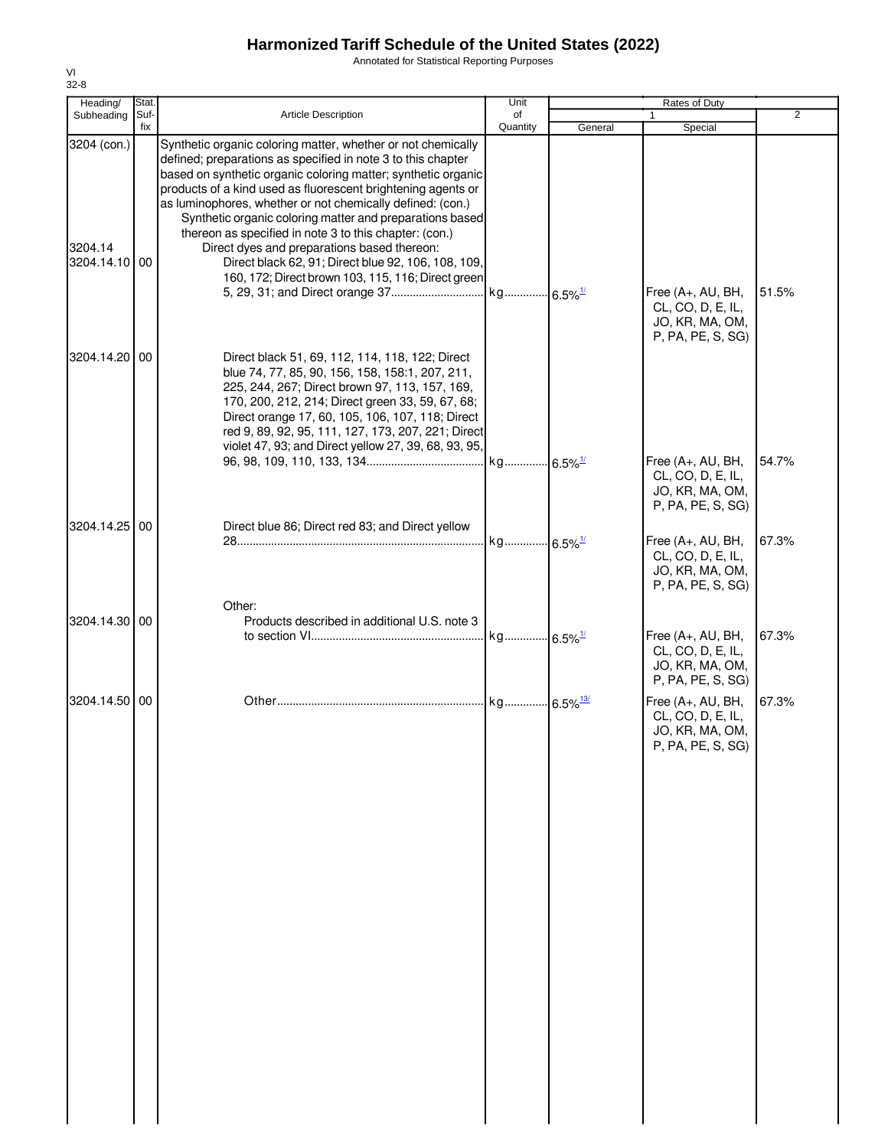Annotated for Statistical Reporting Purposes

| Heading/                                | Stat.       |                                                                                                                                                                                                                                                                                                                                                                                                                                                                                                                                                                                                               | Unit                   |         | Rates of Duty                                                                  |                |
|-----------------------------------------|-------------|---------------------------------------------------------------------------------------------------------------------------------------------------------------------------------------------------------------------------------------------------------------------------------------------------------------------------------------------------------------------------------------------------------------------------------------------------------------------------------------------------------------------------------------------------------------------------------------------------------------|------------------------|---------|--------------------------------------------------------------------------------|----------------|
| Subheading                              | Suf-<br>fix | <b>Article Description</b>                                                                                                                                                                                                                                                                                                                                                                                                                                                                                                                                                                                    | of<br>Quantity         | General | 1<br>Special                                                                   | $\overline{2}$ |
| 3204 (con.)<br>3204.14<br>3204.14.10 00 |             | Synthetic organic coloring matter, whether or not chemically<br>defined; preparations as specified in note 3 to this chapter<br>based on synthetic organic coloring matter; synthetic organic<br>products of a kind used as fluorescent brightening agents or<br>as luminophores, whether or not chemically defined: (con.)<br>Synthetic organic coloring matter and preparations based<br>thereon as specified in note 3 to this chapter: (con.)<br>Direct dyes and preparations based thereon:<br>Direct black 62, 91; Direct blue 92, 106, 108, 109,<br>160, 172; Direct brown 103, 115, 116; Direct green |                        |         | Free (A+, AU, BH,                                                              | 51.5%          |
| 3204.14.20 00                           |             | Direct black 51, 69, 112, 114, 118, 122; Direct<br>blue 74, 77, 85, 90, 156, 158, 158:1, 207, 211,<br>225, 244, 267; Direct brown 97, 113, 157, 169,<br>170, 200, 212, 214; Direct green 33, 59, 67, 68;<br>Direct orange 17, 60, 105, 106, 107, 118; Direct<br>red 9, 89, 92, 95, 111, 127, 173, 207, 221; Direct                                                                                                                                                                                                                                                                                            |                        |         | CL, CO, D, E, IL,<br>JO, KR, MA, OM,<br>P, PA, PE, S, SG)                      |                |
|                                         |             | violet 47, 93; and Direct yellow 27, 39, 68, 93, 95,                                                                                                                                                                                                                                                                                                                                                                                                                                                                                                                                                          |                        |         | Free (A+, AU, BH,<br>CL, CO, D, E, IL,<br>JO, KR, MA, OM,<br>P, PA, PE, S, SG) | 54.7%          |
| 3204.14.25 00                           |             | Direct blue 86; Direct red 83; and Direct yellow<br>Other:                                                                                                                                                                                                                                                                                                                                                                                                                                                                                                                                                    | kg 6.5% <sup>1/</sup>  |         | Free (A+, AU, BH,<br>CL, CO, D, E, IL,<br>JO, KR, MA, OM,<br>P, PA, PE, S, SG) | 67.3%          |
| 3204.14.30 00                           |             | Products described in additional U.S. note 3                                                                                                                                                                                                                                                                                                                                                                                                                                                                                                                                                                  | kg 6.5% <sup>1/</sup>  |         | Free (A+, AU, BH,<br>CL, CO, D, E, IL,<br>JO, KR, MA, OM,<br>P, PA, PE, S, SG) | 67.3%          |
| 3204.14.50 00                           |             |                                                                                                                                                                                                                                                                                                                                                                                                                                                                                                                                                                                                               | kg 6.5% <sup>13/</sup> |         | Free (A+, AU, BH,<br>CL, CO, D, E, IL,<br>JO, KR, MA, OM,<br>P, PA, PE, S, SG) | 67.3%          |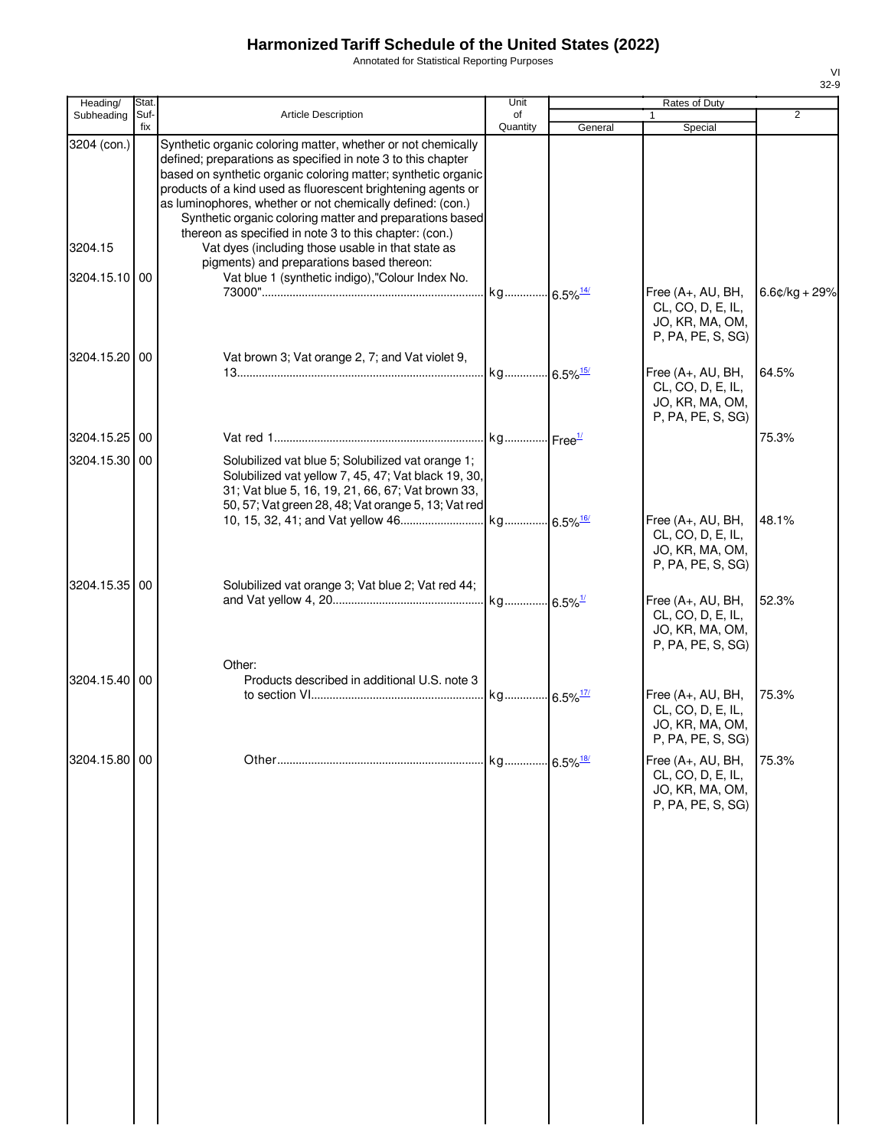Annotated for Statistical Reporting Purposes

| Heading/      | Stat        |                                                                                                                                                                                                                                                                                                                                                                                         | Unit                   |         | <b>Rates of Duty</b>                                                             |                 |
|---------------|-------------|-----------------------------------------------------------------------------------------------------------------------------------------------------------------------------------------------------------------------------------------------------------------------------------------------------------------------------------------------------------------------------------------|------------------------|---------|----------------------------------------------------------------------------------|-----------------|
| Subheading    | Suf-<br>fix | <b>Article Description</b>                                                                                                                                                                                                                                                                                                                                                              | of<br>Quantity         | General | 1<br>Special                                                                     | $\overline{2}$  |
| 3204 (con.)   |             | Synthetic organic coloring matter, whether or not chemically<br>defined; preparations as specified in note 3 to this chapter<br>based on synthetic organic coloring matter; synthetic organic<br>products of a kind used as fluorescent brightening agents or<br>as luminophores, whether or not chemically defined: (con.)<br>Synthetic organic coloring matter and preparations based |                        |         |                                                                                  |                 |
| 3204.15       |             | thereon as specified in note 3 to this chapter: (con.)<br>Vat dyes (including those usable in that state as<br>pigments) and preparations based thereon:                                                                                                                                                                                                                                |                        |         |                                                                                  |                 |
| 3204.15.10 00 |             | Vat blue 1 (synthetic indigo),"Colour Index No.                                                                                                                                                                                                                                                                                                                                         | kg 6.5% <sup>14/</sup> |         | Free (A+, AU, BH,<br>CL, CO, D, E, IL,<br>JO, KR, MA, OM,<br>P, PA, PE, S, SG)   | $6.6¢/kg + 29%$ |
| 3204.15.20 00 |             | Vat brown 3; Vat orange 2, 7; and Vat violet 9,                                                                                                                                                                                                                                                                                                                                         |                        |         | Free (A+, AU, BH,<br>CL, CO, D, E, IL,<br>JO, KR, MA, OM,<br>P, PA, PE, S, SG)   | 64.5%           |
| 3204.15.25 00 |             |                                                                                                                                                                                                                                                                                                                                                                                         |                        |         |                                                                                  | 75.3%           |
| 3204.15.30 00 |             | Solubilized vat blue 5; Solubilized vat orange 1;<br>Solubilized vat yellow 7, 45, 47; Vat black 19, 30,<br>31; Vat blue 5, 16, 19, 21, 66, 67; Vat brown 33,<br>50, 57; Vat green 28, 48; Vat orange 5, 13; Vat red                                                                                                                                                                    |                        |         |                                                                                  |                 |
|               |             |                                                                                                                                                                                                                                                                                                                                                                                         |                        |         | Free (A+, AU, BH,<br>CL, CO, D, E, IL,<br>JO, KR, MA, OM,<br>P, PA, PE, S, SG)   | 48.1%           |
| 3204.15.35 00 |             | Solubilized vat orange 3; Vat blue 2; Vat red 44;                                                                                                                                                                                                                                                                                                                                       |                        |         | Free (A+, AU, BH,<br>CL, CO, D, E, IL,<br>JO, KR, MA, OM,<br>P, PA, PE, S, SG)   | 52.3%           |
| 3204.15.40 00 |             | Other:<br>Products described in additional U.S. note 3                                                                                                                                                                                                                                                                                                                                  |                        |         | Free (A+, AU, BH,<br>CL, CO, D, E, IL,<br>JO, KR, MA, OM,<br>P, PA, PE, S, SG)   | 75.3%           |
| 3204.15.80 00 |             |                                                                                                                                                                                                                                                                                                                                                                                         |                        |         | Free $(A+, AU, BH,$<br>CL, CO, D, E, IL,<br>JO, KR, MA, OM,<br>P, PA, PE, S, SG) | 75.3%           |
|               |             |                                                                                                                                                                                                                                                                                                                                                                                         |                        |         |                                                                                  |                 |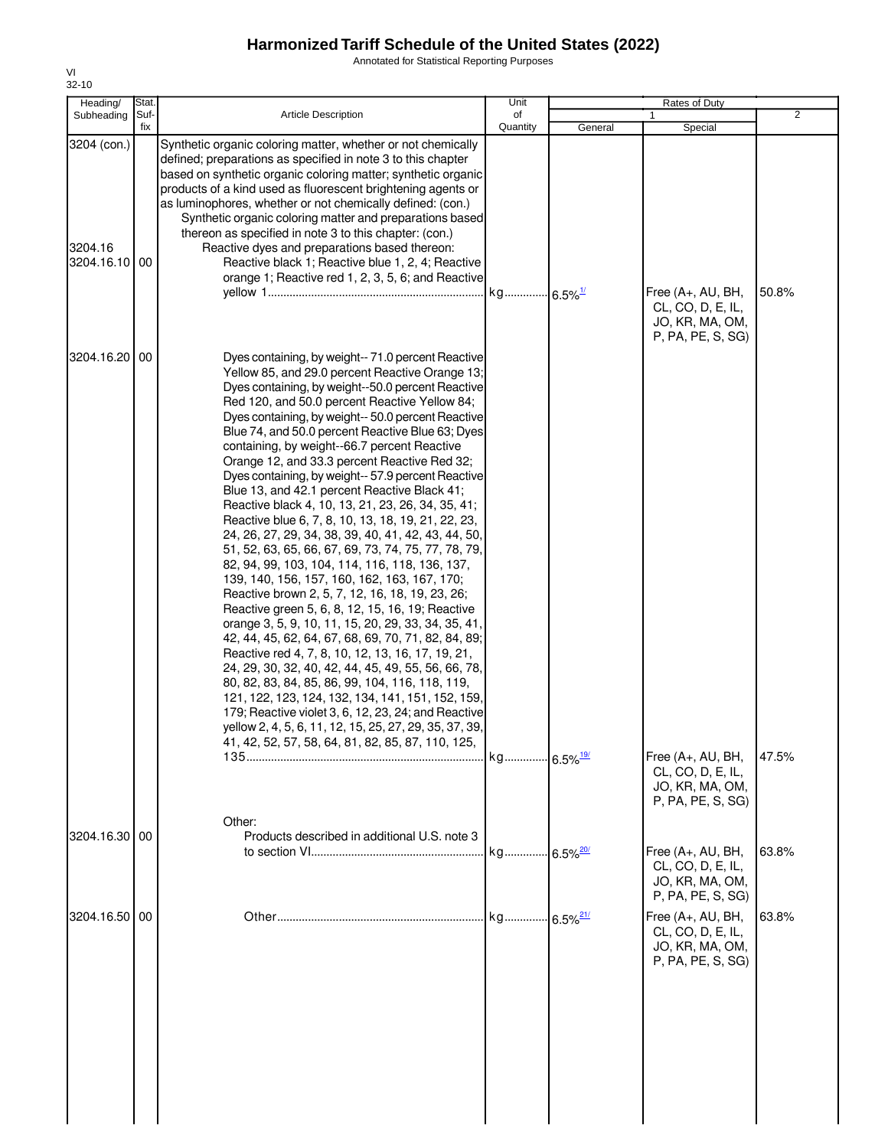Annotated for Statistical Reporting Purposes

| Heading/                                | Stat.       |                                                                                                                                                                                                                                                                                                                                                                                                                                                                                                                                                                                                                                                                                                                                                                                                                                                                                                                                                                                                                                                                                                                                                                                                                                                                                                                                                                                                                                                                       | Unit                   |                         | Rates of Duty                                                                  |                |
|-----------------------------------------|-------------|-----------------------------------------------------------------------------------------------------------------------------------------------------------------------------------------------------------------------------------------------------------------------------------------------------------------------------------------------------------------------------------------------------------------------------------------------------------------------------------------------------------------------------------------------------------------------------------------------------------------------------------------------------------------------------------------------------------------------------------------------------------------------------------------------------------------------------------------------------------------------------------------------------------------------------------------------------------------------------------------------------------------------------------------------------------------------------------------------------------------------------------------------------------------------------------------------------------------------------------------------------------------------------------------------------------------------------------------------------------------------------------------------------------------------------------------------------------------------|------------------------|-------------------------|--------------------------------------------------------------------------------|----------------|
| Subheading                              | Suf-<br>fix | <b>Article Description</b>                                                                                                                                                                                                                                                                                                                                                                                                                                                                                                                                                                                                                                                                                                                                                                                                                                                                                                                                                                                                                                                                                                                                                                                                                                                                                                                                                                                                                                            | of<br>Quantity         | General                 | Special                                                                        | $\overline{2}$ |
| 3204 (con.)<br>3204.16<br>3204.16.10 00 |             | Synthetic organic coloring matter, whether or not chemically<br>defined; preparations as specified in note 3 to this chapter<br>based on synthetic organic coloring matter; synthetic organic<br>products of a kind used as fluorescent brightening agents or<br>as luminophores, whether or not chemically defined: (con.)<br>Synthetic organic coloring matter and preparations based<br>thereon as specified in note 3 to this chapter: (con.)<br>Reactive dyes and preparations based thereon:<br>Reactive black 1; Reactive blue 1, 2, 4; Reactive<br>orange 1; Reactive red 1, 2, 3, 5, 6; and Reactive                                                                                                                                                                                                                                                                                                                                                                                                                                                                                                                                                                                                                                                                                                                                                                                                                                                         |                        |                         | Free (A+, AU, BH,<br>CL, CO, D, E, IL,<br>JO, KR, MA, OM,<br>P, PA, PE, S, SG) | 50.8%          |
| 3204.16.20 00                           |             | Dyes containing, by weight-- 71.0 percent Reactive<br>Yellow 85, and 29.0 percent Reactive Orange 13;<br>Dyes containing, by weight--50.0 percent Reactive<br>Red 120, and 50.0 percent Reactive Yellow 84;<br>Dyes containing, by weight-- 50.0 percent Reactive<br>Blue 74, and 50.0 percent Reactive Blue 63; Dyes<br>containing, by weight--66.7 percent Reactive<br>Orange 12, and 33.3 percent Reactive Red 32;<br>Dyes containing, by weight-- 57.9 percent Reactive<br>Blue 13, and 42.1 percent Reactive Black 41;<br>Reactive black 4, 10, 13, 21, 23, 26, 34, 35, 41;<br>Reactive blue 6, 7, 8, 10, 13, 18, 19, 21, 22, 23,<br>24, 26, 27, 29, 34, 38, 39, 40, 41, 42, 43, 44, 50,<br>51, 52, 63, 65, 66, 67, 69, 73, 74, 75, 77, 78, 79,<br>82, 94, 99, 103, 104, 114, 116, 118, 136, 137,<br>139, 140, 156, 157, 160, 162, 163, 167, 170;<br>Reactive brown 2, 5, 7, 12, 16, 18, 19, 23, 26;<br>Reactive green 5, 6, 8, 12, 15, 16, 19; Reactive<br>orange 3, 5, 9, 10, 11, 15, 20, 29, 33, 34, 35, 41,<br>42, 44, 45, 62, 64, 67, 68, 69, 70, 71, 82, 84, 89;<br>Reactive red 4, 7, 8, 10, 12, 13, 16, 17, 19, 21,<br>24, 29, 30, 32, 40, 42, 44, 45, 49, 55, 56, 66, 78,<br>80, 82, 83, 84, 85, 86, 99, 104, 116, 118, 119,<br>121, 122, 123, 124, 132, 134, 141, 151, 152, 159,<br>179; Reactive violet 3, 6, 12, 23, 24; and Reactive<br>yellow 2, 4, 5, 6, 11, 12, 15, 25, 27, 29, 35, 37, 39,<br>41, 42, 52, 57, 58, 64, 81, 82, 85, 87, 110, 125, |                        |                         |                                                                                |                |
|                                         |             | Other:                                                                                                                                                                                                                                                                                                                                                                                                                                                                                                                                                                                                                                                                                                                                                                                                                                                                                                                                                                                                                                                                                                                                                                                                                                                                                                                                                                                                                                                                |                        |                         | Free (A+, AU, BH,<br>CL, CO, D, E, IL,<br>JO, KR, MA, OM,<br>P, PA, PE, S, SG) | 47.5%          |
| 3204.16.30 00                           |             | Products described in additional U.S. note 3                                                                                                                                                                                                                                                                                                                                                                                                                                                                                                                                                                                                                                                                                                                                                                                                                                                                                                                                                                                                                                                                                                                                                                                                                                                                                                                                                                                                                          | kg 6.5% <sup>20/</sup> |                         | Free (A+, AU, BH,<br>CL, CO, D, E, IL,<br>JO, KR, MA, OM,<br>P, PA, PE, S, SG) | 63.8%          |
| 3204.16.50 00                           |             |                                                                                                                                                                                                                                                                                                                                                                                                                                                                                                                                                                                                                                                                                                                                                                                                                                                                                                                                                                                                                                                                                                                                                                                                                                                                                                                                                                                                                                                                       | kg                     | $-6.5\%$ <sup>21/</sup> | Free (A+, AU, BH,<br>CL, CO, D, E, IL,<br>JO, KR, MA, OM,<br>P, PA, PE, S, SG) | 63.8%          |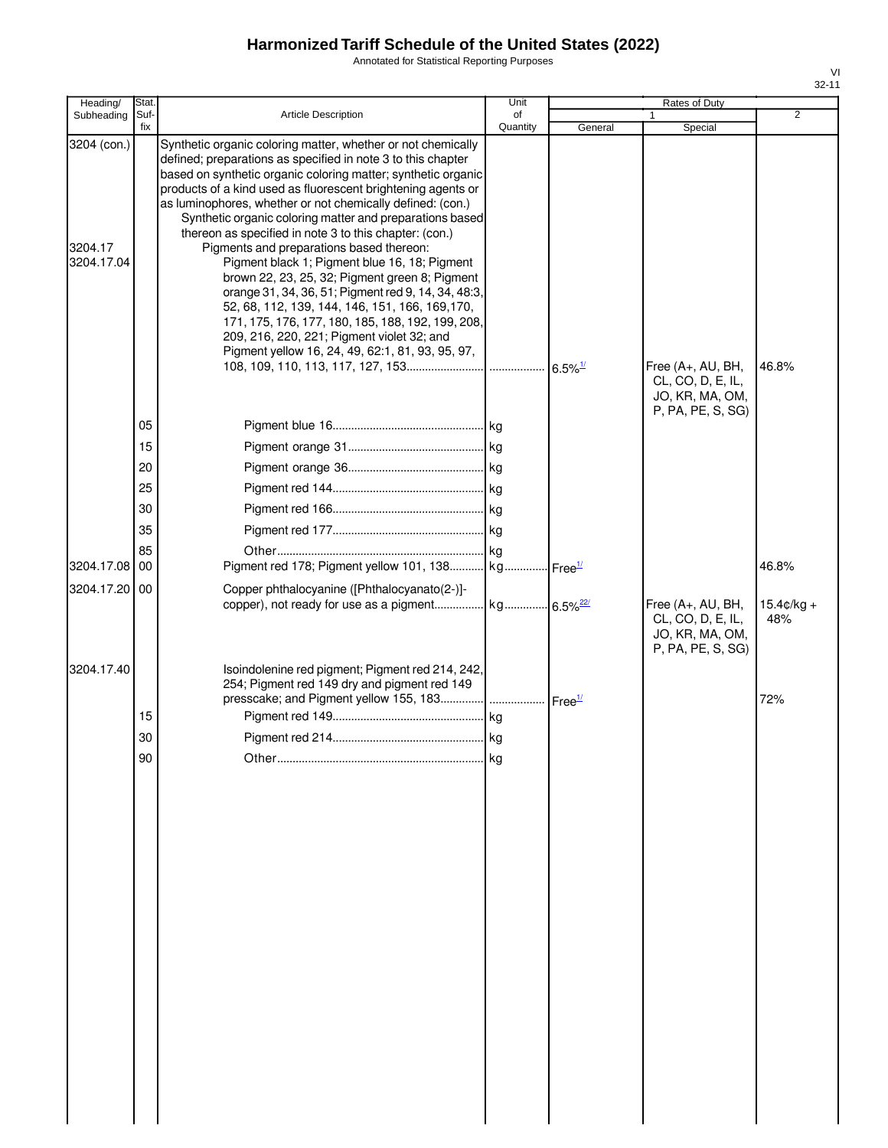Annotated for Statistical Reporting Purposes

| ×<br>I |  |
|--------|--|

| Heading/                             | Stat.          |                                                                                                                                                                                                                                                                                                                                                                                                                                                                                                                                                                                                                                                                                                                                                                                                                                                                   | Unit           |                       | Rates of Duty                                               |                             |
|--------------------------------------|----------------|-------------------------------------------------------------------------------------------------------------------------------------------------------------------------------------------------------------------------------------------------------------------------------------------------------------------------------------------------------------------------------------------------------------------------------------------------------------------------------------------------------------------------------------------------------------------------------------------------------------------------------------------------------------------------------------------------------------------------------------------------------------------------------------------------------------------------------------------------------------------|----------------|-----------------------|-------------------------------------------------------------|-----------------------------|
| Subheading                           | Suf-<br>fix    | <b>Article Description</b>                                                                                                                                                                                                                                                                                                                                                                                                                                                                                                                                                                                                                                                                                                                                                                                                                                        | of<br>Quantity | General               | Special                                                     | $\overline{2}$              |
| 3204 (con.)<br>3204.17<br>3204.17.04 |                | Synthetic organic coloring matter, whether or not chemically<br>defined; preparations as specified in note 3 to this chapter<br>based on synthetic organic coloring matter; synthetic organic<br>products of a kind used as fluorescent brightening agents or<br>as luminophores, whether or not chemically defined: (con.)<br>Synthetic organic coloring matter and preparations based<br>thereon as specified in note 3 to this chapter: (con.)<br>Pigments and preparations based thereon:<br>Pigment black 1; Pigment blue 16, 18; Pigment<br>brown 22, 23, 25, 32; Pigment green 8; Pigment<br>orange 31, 34, 36, 51; Pigment red 9, 14, 34, 48:3,<br>52, 68, 112, 139, 144, 146, 151, 166, 169, 170,<br>171, 175, 176, 177, 180, 185, 188, 192, 199, 208,<br>209, 216, 220, 221; Pigment violet 32; and<br>Pigment yellow 16, 24, 49, 62:1, 81, 93, 95, 97, |                | $6.5\%$ <sup>1/</sup> | Free $(A+, AU, BH,$<br>CL, CO, D, E, IL,<br>JO, KR, MA, OM, | 46.8%                       |
|                                      |                |                                                                                                                                                                                                                                                                                                                                                                                                                                                                                                                                                                                                                                                                                                                                                                                                                                                                   |                |                       | P, PA, PE, S, SG)                                           |                             |
|                                      | 05             |                                                                                                                                                                                                                                                                                                                                                                                                                                                                                                                                                                                                                                                                                                                                                                                                                                                                   |                |                       |                                                             |                             |
|                                      | 15             |                                                                                                                                                                                                                                                                                                                                                                                                                                                                                                                                                                                                                                                                                                                                                                                                                                                                   |                |                       |                                                             |                             |
|                                      | 20             |                                                                                                                                                                                                                                                                                                                                                                                                                                                                                                                                                                                                                                                                                                                                                                                                                                                                   |                |                       |                                                             |                             |
|                                      | 25             |                                                                                                                                                                                                                                                                                                                                                                                                                                                                                                                                                                                                                                                                                                                                                                                                                                                                   |                |                       |                                                             |                             |
|                                      | 30             |                                                                                                                                                                                                                                                                                                                                                                                                                                                                                                                                                                                                                                                                                                                                                                                                                                                                   |                |                       |                                                             |                             |
|                                      | 35             |                                                                                                                                                                                                                                                                                                                                                                                                                                                                                                                                                                                                                                                                                                                                                                                                                                                                   |                |                       |                                                             |                             |
| 3204.17.08 00                        | 85             | Pigment red 178; Pigment yellow 101, 138 kg Free <sup>1/</sup>                                                                                                                                                                                                                                                                                                                                                                                                                                                                                                                                                                                                                                                                                                                                                                                                    |                |                       |                                                             | 46.8%                       |
| 3204.17.20 00                        |                | Copper phthalocyanine ([Phthalocyanato(2-)]-<br>copper), not ready for use as a pigment kg 6.5% <sup>22/</sup>                                                                                                                                                                                                                                                                                                                                                                                                                                                                                                                                                                                                                                                                                                                                                    |                |                       | Free (A+, AU, BH,<br>CL, CO, D, E, IL,                      | $15.4 \text{c/kg} +$<br>48% |
| 3204.17.40                           | 15<br>30<br>90 | Isoindolenine red pigment; Pigment red 214, 242,<br>254; Pigment red 149 dry and pigment red 149<br>presscake; and Pigment yellow 155, 183     Free <sup>1/</sup>                                                                                                                                                                                                                                                                                                                                                                                                                                                                                                                                                                                                                                                                                                 | kg             |                       | JO, KR, MA, OM,<br>P, PA, PE, S, SG)                        | 72%                         |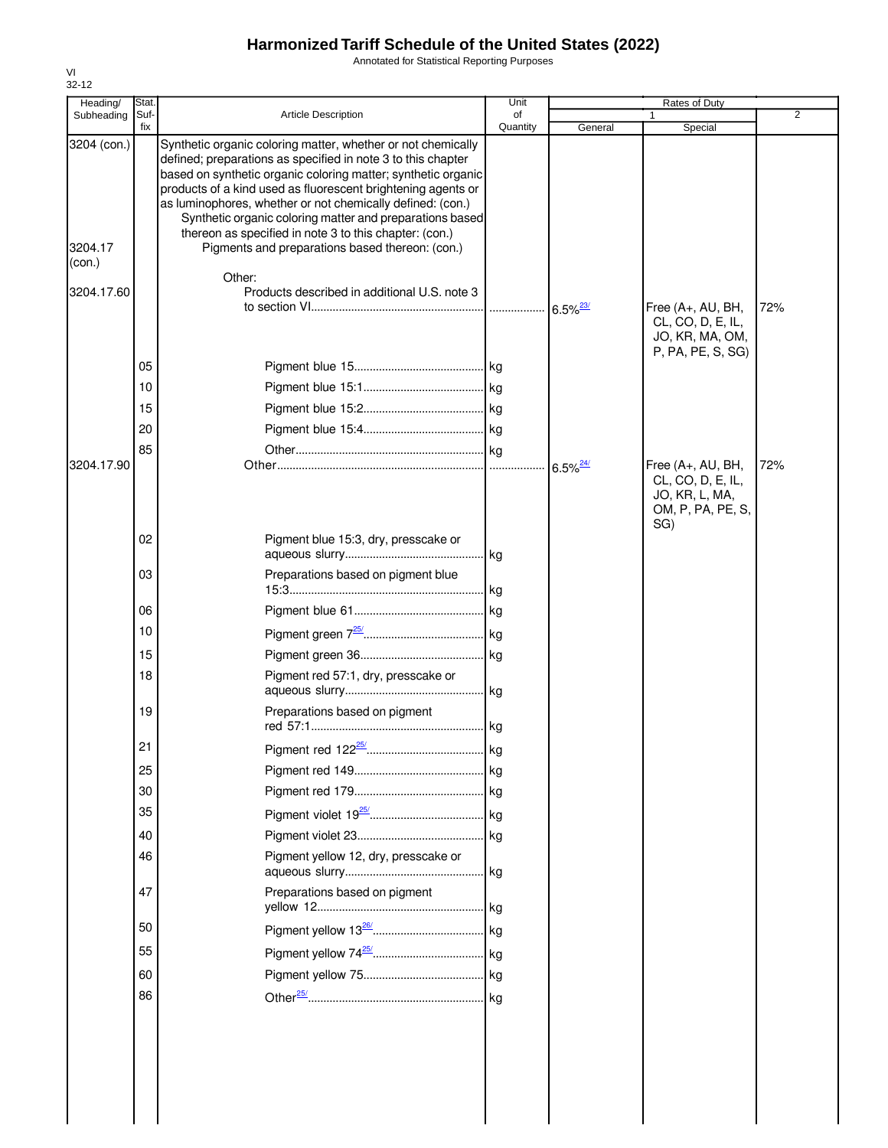Annotated for Statistical Reporting Purposes

| Heading/                         | <b>Stat</b> |                                                                                                                                                                                                                                                                                                                                                                                                                                                                                                                | Unit           |                        | Rates of Duty                                                                        | $\overline{2}$ |
|----------------------------------|-------------|----------------------------------------------------------------------------------------------------------------------------------------------------------------------------------------------------------------------------------------------------------------------------------------------------------------------------------------------------------------------------------------------------------------------------------------------------------------------------------------------------------------|----------------|------------------------|--------------------------------------------------------------------------------------|----------------|
| Subheading                       | Suf-<br>fix | <b>Article Description</b>                                                                                                                                                                                                                                                                                                                                                                                                                                                                                     | of<br>Quantity | General                | Special                                                                              |                |
| 3204 (con.)<br>3204.17<br>(con.) |             | Synthetic organic coloring matter, whether or not chemically<br>defined; preparations as specified in note 3 to this chapter<br>based on synthetic organic coloring matter; synthetic organic<br>products of a kind used as fluorescent brightening agents or<br>as luminophores, whether or not chemically defined: (con.)<br>Synthetic organic coloring matter and preparations based<br>thereon as specified in note 3 to this chapter: (con.)<br>Pigments and preparations based thereon: (con.)<br>Other: |                |                        |                                                                                      |                |
| 3204.17.60                       |             | Products described in additional U.S. note 3                                                                                                                                                                                                                                                                                                                                                                                                                                                                   |                | $6.5\%$ <sup>23/</sup> | Free (A+, AU, BH,<br>CL, CO, D, E, IL,<br>JO, KR, MA, OM,                            | 72%            |
|                                  | 05          |                                                                                                                                                                                                                                                                                                                                                                                                                                                                                                                |                |                        | P, PA, PE, S, SG)                                                                    |                |
|                                  | 10          |                                                                                                                                                                                                                                                                                                                                                                                                                                                                                                                |                |                        |                                                                                      |                |
|                                  | 15          |                                                                                                                                                                                                                                                                                                                                                                                                                                                                                                                |                |                        |                                                                                      |                |
|                                  | 20          |                                                                                                                                                                                                                                                                                                                                                                                                                                                                                                                |                |                        |                                                                                      |                |
|                                  | 85          |                                                                                                                                                                                                                                                                                                                                                                                                                                                                                                                |                |                        |                                                                                      |                |
| 3204.17.90                       |             |                                                                                                                                                                                                                                                                                                                                                                                                                                                                                                                |                | $6.5\%$ <sup>24/</sup> | Free (A+, AU, BH,<br>CL, CO, D, E, IL,<br>JO, KR, L, MA,<br>OM, P, PA, PE, S,<br>SG) | 72%            |
|                                  | 02          | Pigment blue 15:3, dry, presscake or                                                                                                                                                                                                                                                                                                                                                                                                                                                                           | kg             |                        |                                                                                      |                |
|                                  | 03          | Preparations based on pigment blue                                                                                                                                                                                                                                                                                                                                                                                                                                                                             | kg             |                        |                                                                                      |                |
|                                  | 06          |                                                                                                                                                                                                                                                                                                                                                                                                                                                                                                                |                |                        |                                                                                      |                |
|                                  | 10          |                                                                                                                                                                                                                                                                                                                                                                                                                                                                                                                |                |                        |                                                                                      |                |
|                                  | 15          |                                                                                                                                                                                                                                                                                                                                                                                                                                                                                                                |                |                        |                                                                                      |                |
|                                  | 18          | Pigment red 57:1, dry, presscake or                                                                                                                                                                                                                                                                                                                                                                                                                                                                            |                |                        |                                                                                      |                |
|                                  | 19          | Preparations based on pigment                                                                                                                                                                                                                                                                                                                                                                                                                                                                                  |                |                        |                                                                                      |                |
|                                  | 21          |                                                                                                                                                                                                                                                                                                                                                                                                                                                                                                                |                |                        |                                                                                      |                |
|                                  | 25          |                                                                                                                                                                                                                                                                                                                                                                                                                                                                                                                |                |                        |                                                                                      |                |
|                                  | 30          |                                                                                                                                                                                                                                                                                                                                                                                                                                                                                                                |                |                        |                                                                                      |                |
|                                  | 35          |                                                                                                                                                                                                                                                                                                                                                                                                                                                                                                                |                |                        |                                                                                      |                |
|                                  | 40          |                                                                                                                                                                                                                                                                                                                                                                                                                                                                                                                |                |                        |                                                                                      |                |
|                                  | 46          | Pigment yellow 12, dry, presscake or                                                                                                                                                                                                                                                                                                                                                                                                                                                                           |                |                        |                                                                                      |                |
|                                  | 47          | Preparations based on pigment                                                                                                                                                                                                                                                                                                                                                                                                                                                                                  |                |                        |                                                                                      |                |
|                                  | 50          |                                                                                                                                                                                                                                                                                                                                                                                                                                                                                                                |                |                        |                                                                                      |                |
|                                  | 55          |                                                                                                                                                                                                                                                                                                                                                                                                                                                                                                                |                |                        |                                                                                      |                |
|                                  | 60          |                                                                                                                                                                                                                                                                                                                                                                                                                                                                                                                |                |                        |                                                                                      |                |
|                                  | 86          |                                                                                                                                                                                                                                                                                                                                                                                                                                                                                                                |                |                        |                                                                                      |                |
|                                  |             |                                                                                                                                                                                                                                                                                                                                                                                                                                                                                                                |                |                        |                                                                                      |                |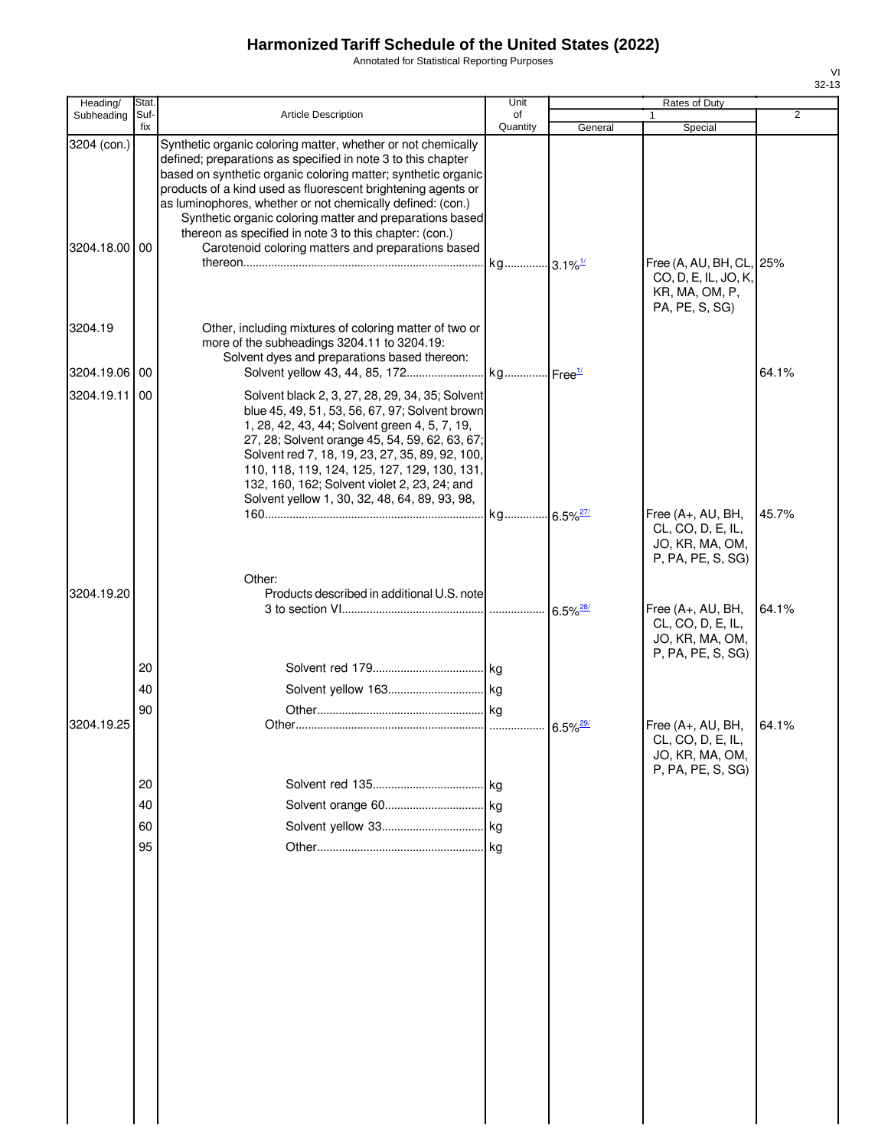Annotated for Statistical Reporting Purposes

| Heading/                     | Stat.       |                                                                                                                                                                                                                                                                                                                                                                                                                                                                                                         | Unit                  |         | Rates of Duty                                                                  |                |
|------------------------------|-------------|---------------------------------------------------------------------------------------------------------------------------------------------------------------------------------------------------------------------------------------------------------------------------------------------------------------------------------------------------------------------------------------------------------------------------------------------------------------------------------------------------------|-----------------------|---------|--------------------------------------------------------------------------------|----------------|
| Subheading                   | Suf-<br>fix | <b>Article Description</b>                                                                                                                                                                                                                                                                                                                                                                                                                                                                              | of<br>Quantity        | General | $\mathbf{1}$<br>Special                                                        | $\overline{2}$ |
| 3204 (con.)<br>3204.18.00 00 |             | Synthetic organic coloring matter, whether or not chemically<br>defined; preparations as specified in note 3 to this chapter<br>based on synthetic organic coloring matter; synthetic organic<br>products of a kind used as fluorescent brightening agents or<br>as luminophores, whether or not chemically defined: (con.)<br>Synthetic organic coloring matter and preparations based<br>thereon as specified in note 3 to this chapter: (con.)<br>Carotenoid coloring matters and preparations based | kg 3.1% <sup>1/</sup> |         | Free (A, AU, BH, CL, 25%<br>CO, D, E, IL, JO, K,<br>KR, MA, OM, P,             |                |
| 3204.19                      |             | Other, including mixtures of coloring matter of two or<br>more of the subheadings 3204.11 to 3204.19:<br>Solvent dyes and preparations based thereon:                                                                                                                                                                                                                                                                                                                                                   |                       |         | PA, PE, S, SG)                                                                 |                |
| 3204.19.06 00                |             |                                                                                                                                                                                                                                                                                                                                                                                                                                                                                                         |                       |         |                                                                                | 64.1%          |
| 3204.19.11 00                |             | Solvent black 2, 3, 27, 28, 29, 34, 35; Solvent<br>blue 45, 49, 51, 53, 56, 67, 97; Solvent brown<br>1, 28, 42, 43, 44; Solvent green 4, 5, 7, 19,<br>27, 28; Solvent orange 45, 54, 59, 62, 63, 67;<br>Solvent red 7, 18, 19, 23, 27, 35, 89, 92, 100,<br>110, 118, 119, 124, 125, 127, 129, 130, 131,<br>132, 160, 162; Solvent violet 2, 23, 24; and<br>Solvent yellow 1, 30, 32, 48, 64, 89, 93, 98,                                                                                                |                       |         |                                                                                |                |
|                              |             |                                                                                                                                                                                                                                                                                                                                                                                                                                                                                                         |                       |         | Free (A+, AU, BH,<br>CL, CO, D, E, IL,<br>JO, KR, MA, OM,<br>P, PA, PE, S, SG) | 45.7%          |
| 3204.19.20                   |             | Other:<br>Products described in additional U.S. note                                                                                                                                                                                                                                                                                                                                                                                                                                                    |                       |         | Free $(A+, AU, BH,$<br>CL, CO, D, E, IL,<br>JO, KR, MA, OM,                    | 64.1%          |
|                              | 20          |                                                                                                                                                                                                                                                                                                                                                                                                                                                                                                         |                       |         | P, PA, PE, S, SG)                                                              |                |
|                              | 40          |                                                                                                                                                                                                                                                                                                                                                                                                                                                                                                         |                       |         |                                                                                |                |
|                              | 90          |                                                                                                                                                                                                                                                                                                                                                                                                                                                                                                         |                       |         |                                                                                |                |
| 3204.19.25                   |             |                                                                                                                                                                                                                                                                                                                                                                                                                                                                                                         |                       |         | Free (A+, AU, BH,<br>CL, CO, D, E, IL,<br>JO, KR, MA, OM,<br>P, PA, PE, S, SG) | 64.1%          |
|                              | 20          |                                                                                                                                                                                                                                                                                                                                                                                                                                                                                                         |                       |         |                                                                                |                |
|                              | 40          |                                                                                                                                                                                                                                                                                                                                                                                                                                                                                                         |                       |         |                                                                                |                |
|                              | 60          |                                                                                                                                                                                                                                                                                                                                                                                                                                                                                                         |                       |         |                                                                                |                |
|                              | 95          |                                                                                                                                                                                                                                                                                                                                                                                                                                                                                                         |                       |         |                                                                                |                |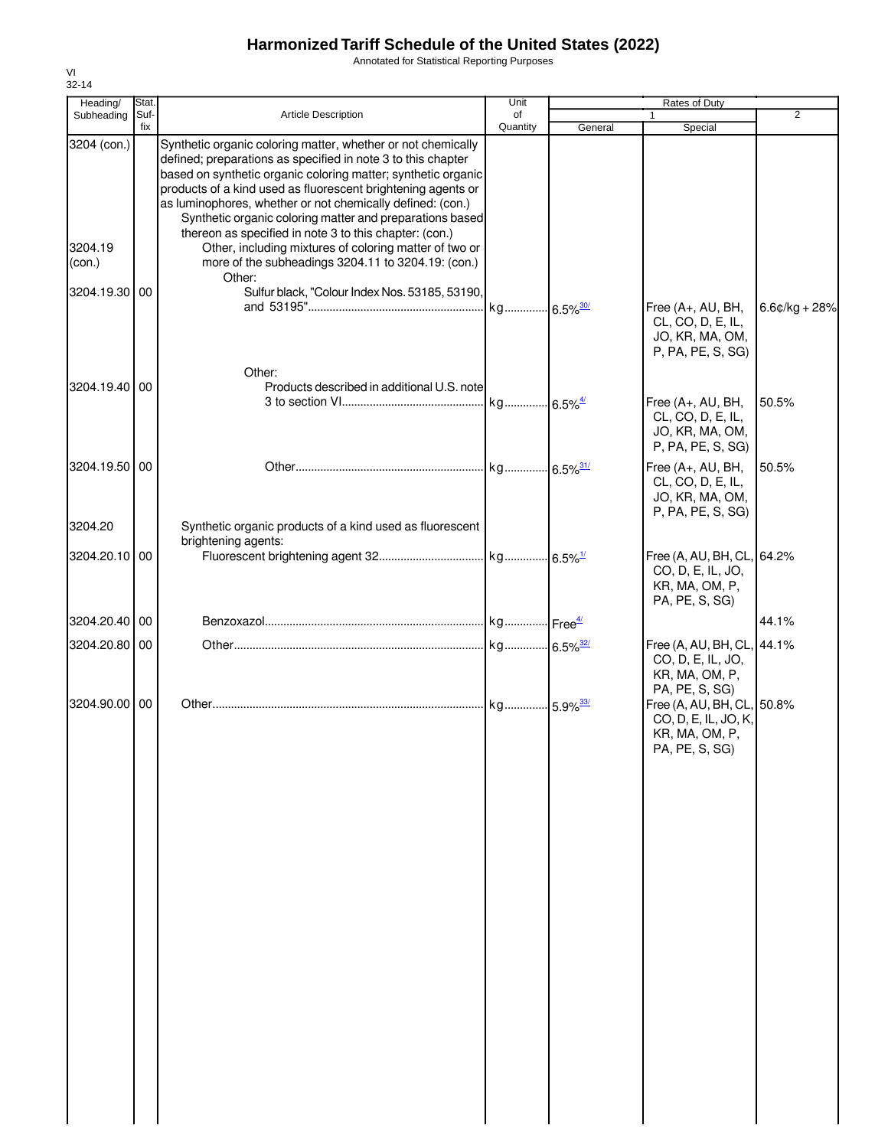Annotated for Statistical Reporting Purposes

| Heading/                         | Stat.       |                                                                                                                                                                                                                                                                                                                                                                                                                                                                                                                                                                             | Unit           |                       | Rates of Duty                                                                          |                 |
|----------------------------------|-------------|-----------------------------------------------------------------------------------------------------------------------------------------------------------------------------------------------------------------------------------------------------------------------------------------------------------------------------------------------------------------------------------------------------------------------------------------------------------------------------------------------------------------------------------------------------------------------------|----------------|-----------------------|----------------------------------------------------------------------------------------|-----------------|
| Subheading                       | Suf-<br>fix | Article Description                                                                                                                                                                                                                                                                                                                                                                                                                                                                                                                                                         | of<br>Quantity | General               | 1<br>Special                                                                           | 2               |
| 3204 (con.)<br>3204.19<br>(con.) |             | Synthetic organic coloring matter, whether or not chemically<br>defined; preparations as specified in note 3 to this chapter<br>based on synthetic organic coloring matter; synthetic organic<br>products of a kind used as fluorescent brightening agents or<br>as luminophores, whether or not chemically defined: (con.)<br>Synthetic organic coloring matter and preparations based<br>thereon as specified in note 3 to this chapter: (con.)<br>Other, including mixtures of coloring matter of two or<br>more of the subheadings 3204.11 to 3204.19: (con.)<br>Other: |                |                       |                                                                                        |                 |
| 3204.19.30 00                    |             | Sulfur black, "Colour Index Nos. 53185, 53190,                                                                                                                                                                                                                                                                                                                                                                                                                                                                                                                              |                |                       | Free (A+, AU, BH,<br>CL, CO, D, E, IL,<br>JO, KR, MA, OM,<br>P, PA, PE, S, SG)         | $6.6¢/kg + 28%$ |
|                                  |             | Other:                                                                                                                                                                                                                                                                                                                                                                                                                                                                                                                                                                      |                |                       |                                                                                        |                 |
| 3204.19.40 00                    |             | Products described in additional U.S. note                                                                                                                                                                                                                                                                                                                                                                                                                                                                                                                                  |                | $6.5\%$ <sup>4/</sup> | Free (A+, AU, BH,<br>CL, CO, D, E, IL,<br>JO, KR, MA, OM,<br>P, PA, PE, S, SG)         | 50.5%           |
| 3204.19.50 00                    |             |                                                                                                                                                                                                                                                                                                                                                                                                                                                                                                                                                                             |                |                       | Free (A+, AU, BH,<br>CL, CO, D, E, IL,<br>JO, KR, MA, OM,<br>P, PA, PE, S, SG)         | 50.5%           |
| 3204.20                          |             | Synthetic organic products of a kind used as fluorescent                                                                                                                                                                                                                                                                                                                                                                                                                                                                                                                    |                |                       |                                                                                        |                 |
| 3204.20.10 00                    |             | brightening agents:                                                                                                                                                                                                                                                                                                                                                                                                                                                                                                                                                         |                |                       | Free (A, AU, BH, CL, 64.2%<br>CO, D, E, IL, JO,<br>KR, MA, OM, P,<br>PA, PE, S, SG)    |                 |
| 3204.20.40                       | 00          |                                                                                                                                                                                                                                                                                                                                                                                                                                                                                                                                                                             |                |                       |                                                                                        | 44.1%           |
| 3204.20.80 00                    |             |                                                                                                                                                                                                                                                                                                                                                                                                                                                                                                                                                                             |                |                       | Free (A, AU, BH, CL, 44.1%                                                             |                 |
|                                  |             |                                                                                                                                                                                                                                                                                                                                                                                                                                                                                                                                                                             |                |                       | CO, D, E, IL, JO,<br>KR, MA, OM, P,<br>PA, PE, S, SG)                                  |                 |
| 3204.90.00                       | 00          |                                                                                                                                                                                                                                                                                                                                                                                                                                                                                                                                                                             |                |                       | Free (A, AU, BH, CL, 50.8%<br>CO, D, E, IL, JO, K,<br>KR, MA, OM, P,<br>PA, PE, S, SG) |                 |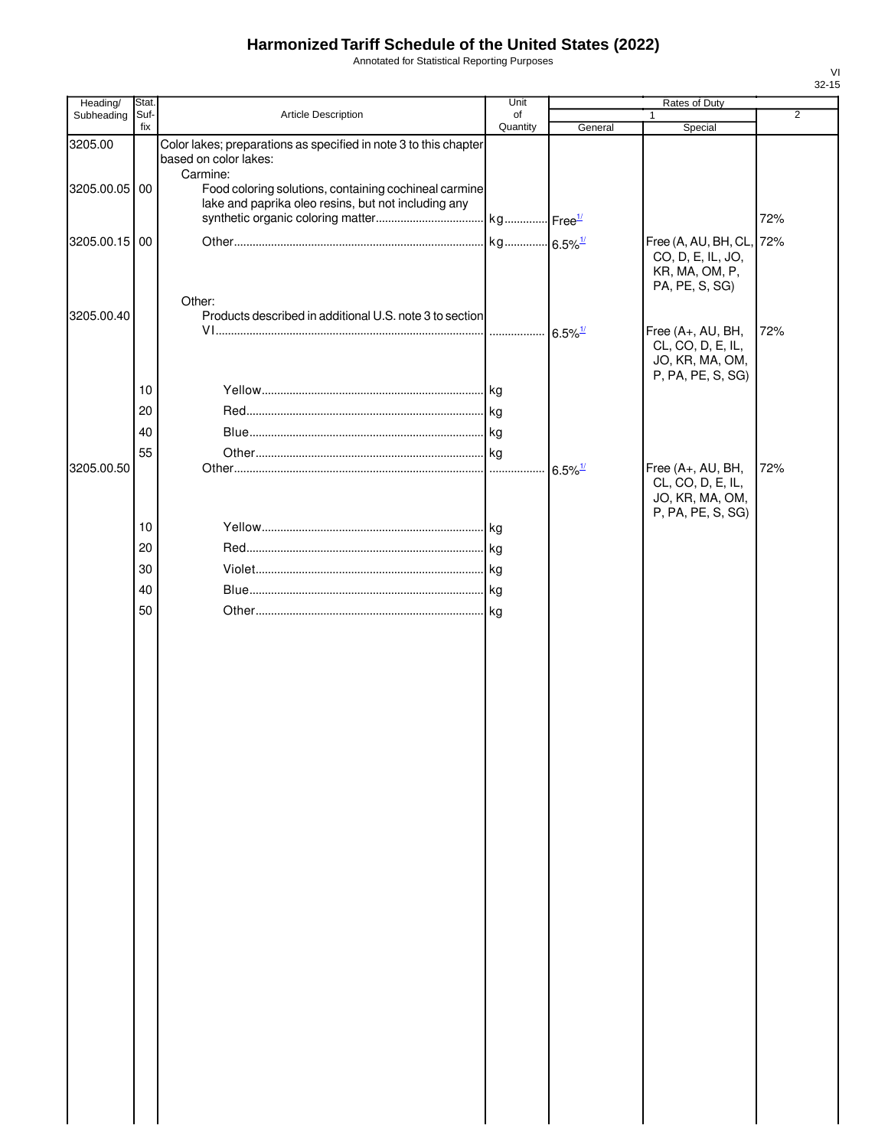Annotated for Statistical Reporting Purposes

| Stat. |                                                                                                                   | Unit                            |                                                                                                                                                                                                              | Rates of Duty                                             |                                                                                             |
|-------|-------------------------------------------------------------------------------------------------------------------|---------------------------------|--------------------------------------------------------------------------------------------------------------------------------------------------------------------------------------------------------------|-----------------------------------------------------------|---------------------------------------------------------------------------------------------|
|       |                                                                                                                   |                                 |                                                                                                                                                                                                              | $\mathbf{1}$                                              | $\overline{2}$                                                                              |
|       | based on color lakes:                                                                                             |                                 |                                                                                                                                                                                                              |                                                           |                                                                                             |
|       | lake and paprika oleo resins, but not including any                                                               |                                 |                                                                                                                                                                                                              |                                                           | 72%                                                                                         |
|       |                                                                                                                   |                                 |                                                                                                                                                                                                              | CO, D, E, IL, JO,<br>KR, MA, OM, P,                       | 72%                                                                                         |
|       | Other:                                                                                                            |                                 | $6.5\%$ <sup>1/</sup>                                                                                                                                                                                        | Free (A+, AU, BH,                                         | 72%                                                                                         |
|       |                                                                                                                   |                                 |                                                                                                                                                                                                              | JO, KR, MA, OM,<br>P, PA, PE, S, SG)                      |                                                                                             |
|       |                                                                                                                   |                                 |                                                                                                                                                                                                              |                                                           |                                                                                             |
|       |                                                                                                                   |                                 |                                                                                                                                                                                                              |                                                           |                                                                                             |
|       |                                                                                                                   |                                 |                                                                                                                                                                                                              |                                                           |                                                                                             |
|       |                                                                                                                   | 1.1.1.1                         | $6.5\%$ <sup>1/</sup>                                                                                                                                                                                        | Free (A+, AU, BH,<br>CL, CO, D, E, IL,<br>JO, KR, MA, OM, | 72%                                                                                         |
|       |                                                                                                                   |                                 |                                                                                                                                                                                                              |                                                           |                                                                                             |
|       |                                                                                                                   |                                 |                                                                                                                                                                                                              |                                                           |                                                                                             |
|       |                                                                                                                   |                                 |                                                                                                                                                                                                              |                                                           |                                                                                             |
|       |                                                                                                                   |                                 |                                                                                                                                                                                                              |                                                           |                                                                                             |
|       |                                                                                                                   |                                 |                                                                                                                                                                                                              |                                                           |                                                                                             |
|       |                                                                                                                   |                                 |                                                                                                                                                                                                              |                                                           |                                                                                             |
|       | Suf-<br>fix<br>3205.00.05 00<br>3205.00.15 00<br>10<br>20<br>40<br>55<br>3205.00.50<br>10<br>20<br>30<br>40<br>50 | Article Description<br>Carmine: | of<br>Quantity<br>Color lakes; preparations as specified in note 3 to this chapter<br>Food coloring solutions, containing cochineal carmine<br>Products described in additional U.S. note 3 to section<br>kg | General<br>kg 6.5% <sup>1/</sup>                          | Special<br>Free (A, AU, BH, CL,<br>PA, PE, S, SG)<br>CL, CO, D, E, IL,<br>P, PA, PE, S, SG) |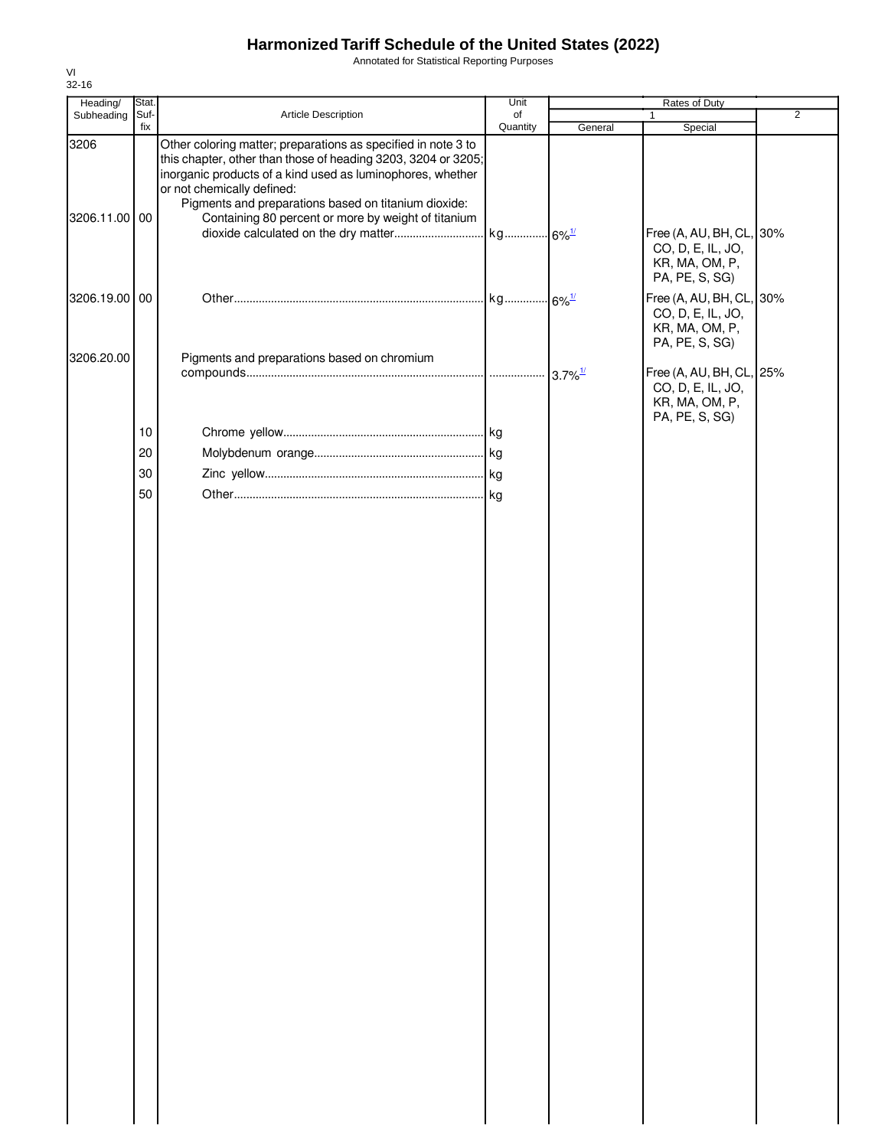Annotated for Statistical Reporting Purposes

| Heading/              | Stat.       |                                                                                                                                                                                                                                                                                                                                           | Unit           | Rates of Duty         |                                                                                                     |                |
|-----------------------|-------------|-------------------------------------------------------------------------------------------------------------------------------------------------------------------------------------------------------------------------------------------------------------------------------------------------------------------------------------------|----------------|-----------------------|-----------------------------------------------------------------------------------------------------|----------------|
| Subheading            | Suf-<br>fix | Article Description                                                                                                                                                                                                                                                                                                                       | of<br>Quantity | General               | $\mathbf{1}$<br>Special                                                                             | $\overline{2}$ |
| 3206<br>3206.11.00 00 |             | Other coloring matter; preparations as specified in note 3 to<br>this chapter, other than those of heading 3203, 3204 or 3205;<br>inorganic products of a kind used as luminophores, whether<br>or not chemically defined:<br>Pigments and preparations based on titanium dioxide:<br>Containing 80 percent or more by weight of titanium |                |                       | Free (A, AU, BH, CL, 30%<br>CO, D, E, IL, JO,<br>KR, MA, OM, P,<br>PA, PE, S, SG)                   |                |
| 3206.19.00 00         |             |                                                                                                                                                                                                                                                                                                                                           |                |                       | Free (A, AU, BH, CL, 30%<br>CO, D, E, IL, JO,<br>KR, MA, OM, P,                                     |                |
| 3206.20.00            |             | Pigments and preparations based on chromium                                                                                                                                                                                                                                                                                               |                | $3.7\%$ <sup>1/</sup> | PA, PE, S, SG)<br>Free (A, AU, BH, CL, 25%<br>CO, D, E, IL, JO,<br>KR, MA, OM, P,<br>PA, PE, S, SG) |                |
|                       | 10          |                                                                                                                                                                                                                                                                                                                                           |                |                       |                                                                                                     |                |
|                       | 20          |                                                                                                                                                                                                                                                                                                                                           |                |                       |                                                                                                     |                |
|                       | 30          |                                                                                                                                                                                                                                                                                                                                           |                |                       |                                                                                                     |                |
|                       | 50          |                                                                                                                                                                                                                                                                                                                                           |                |                       |                                                                                                     |                |
|                       |             |                                                                                                                                                                                                                                                                                                                                           |                |                       |                                                                                                     |                |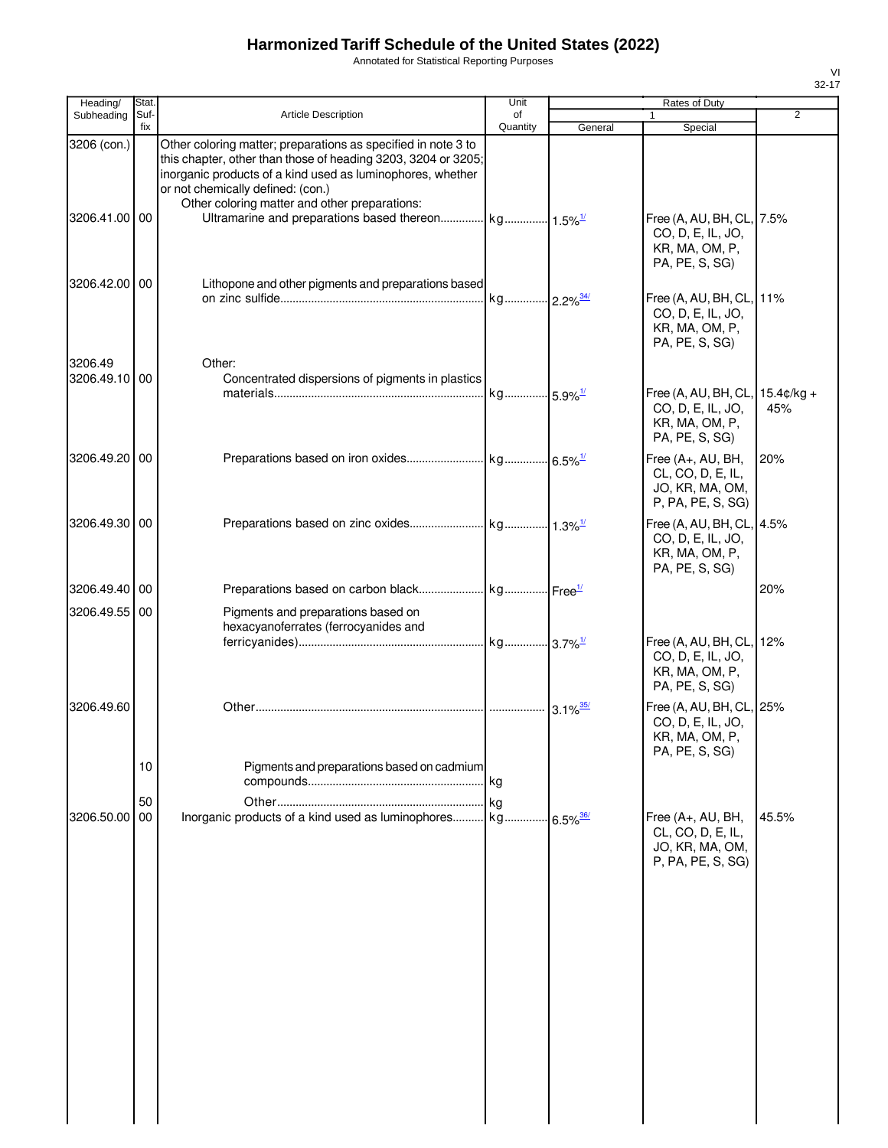Annotated for Statistical Reporting Purposes

| VI        |
|-----------|
| $32 - 17$ |
|           |

| Heading/                     | Stat.       |                                                                                                                                                                                                                                                                                    | Unit           |                        | Rates of Duty                                                                            |                |
|------------------------------|-------------|------------------------------------------------------------------------------------------------------------------------------------------------------------------------------------------------------------------------------------------------------------------------------------|----------------|------------------------|------------------------------------------------------------------------------------------|----------------|
| Subheading                   | Suf-<br>fix | <b>Article Description</b>                                                                                                                                                                                                                                                         | of<br>Quantity | General                | Special                                                                                  | $\overline{2}$ |
| 3206 (con.)<br>3206.41.00 00 |             | Other coloring matter; preparations as specified in note 3 to<br>this chapter, other than those of heading 3203, 3204 or 3205;<br>inorganic products of a kind used as luminophores, whether<br>or not chemically defined: (con.)<br>Other coloring matter and other preparations: |                |                        | Free (A, AU, BH, CL, 7.5%                                                                |                |
|                              |             |                                                                                                                                                                                                                                                                                    |                |                        | CO, D, E, IL, JO,<br>KR, MA, OM, P,<br>PA, PE, S, SG)                                    |                |
| 3206.42.00 00                |             | Lithopone and other pigments and preparations based                                                                                                                                                                                                                                | kg             | $2.2\%$ <sup>34/</sup> | Free (A, AU, BH, CL, 11%<br>CO, D, E, IL, JO,<br>KR, MA, OM, P,<br>PA, PE, S, SG)        |                |
| 3206.49<br>3206.49.10 00     |             | Other:<br>Concentrated dispersions of pigments in plastics                                                                                                                                                                                                                         |                |                        | Free (A, AU, BH, CL, 15.4¢/kg +<br>CO, D, E, IL, JO,<br>KR, MA, OM, P,<br>PA, PE, S, SG) | 45%            |
| 3206.49.20 00                |             |                                                                                                                                                                                                                                                                                    |                |                        | Free (A+, AU, BH,<br>CL, CO, D, E, IL,<br>JO, KR, MA, OM,<br>P, PA, PE, S, SG)           | 20%            |
| 3206.49.30 00                |             |                                                                                                                                                                                                                                                                                    |                |                        | Free (A, AU, BH, CL, 4.5%<br>CO, D, E, IL, JO,<br>KR, MA, OM, P,<br>PA, PE, S, SG)       |                |
| 3206.49.40 00                |             |                                                                                                                                                                                                                                                                                    |                |                        |                                                                                          | 20%            |
| 3206.49.55 00                |             | Pigments and preparations based on<br>hexacyanoferrates (ferrocyanides and                                                                                                                                                                                                         |                |                        |                                                                                          | 12%            |
|                              |             |                                                                                                                                                                                                                                                                                    |                |                        | Free (A, AU, BH, CL,<br>CO, D, E, IL, JO,<br>KR, MA, OM, P,<br>PA, PE, S, SG)            |                |
| 3206.49.60                   |             |                                                                                                                                                                                                                                                                                    |                | $3.1\%$ <sup>35/</sup> | Free (A, AU, BH, CL, 25%<br>CO, D, E, IL, JO,<br>KR, MA, OM, P,<br>PA, PE, S, SG)        |                |
|                              | 10          | Pigments and preparations based on cadmium                                                                                                                                                                                                                                         |                |                        |                                                                                          |                |
| 3206.50.00                   | 50<br>00    | Inorganic products of a kind used as luminophores kg                                                                                                                                                                                                                               |                | $6.5\%$ <sup>36/</sup> | Free (A+, AU, BH,<br>CL, CO, D, E, IL,<br>JO, KR, MA, OM,<br>P, PA, PE, S, SG)           | 45.5%          |
|                              |             |                                                                                                                                                                                                                                                                                    |                |                        |                                                                                          |                |
|                              |             |                                                                                                                                                                                                                                                                                    |                |                        |                                                                                          |                |
|                              |             |                                                                                                                                                                                                                                                                                    |                |                        |                                                                                          |                |
|                              |             |                                                                                                                                                                                                                                                                                    |                |                        |                                                                                          |                |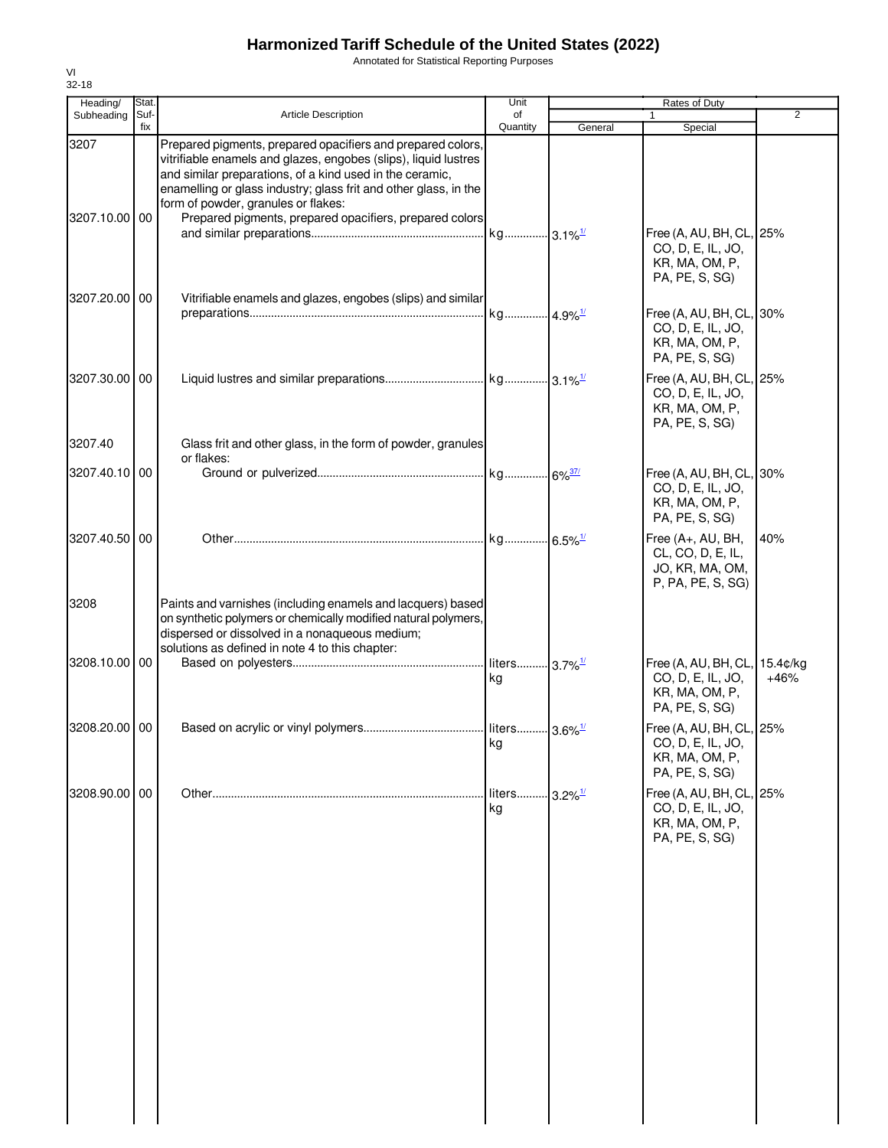Annotated for Statistical Reporting Purposes

| Heading/              | Stat.       |                                                                                                                                                                                                                                                                                                                                                                  | Unit                            |                       | Rates of Duty                                                                          |                |
|-----------------------|-------------|------------------------------------------------------------------------------------------------------------------------------------------------------------------------------------------------------------------------------------------------------------------------------------------------------------------------------------------------------------------|---------------------------------|-----------------------|----------------------------------------------------------------------------------------|----------------|
| Subheading            | Suf-<br>fix | <b>Article Description</b>                                                                                                                                                                                                                                                                                                                                       | of<br>Quantity                  | General               | Special                                                                                | $\overline{2}$ |
| 3207<br>3207.10.00 00 |             | Prepared pigments, prepared opacifiers and prepared colors,<br>vitrifiable enamels and glazes, engobes (slips), liquid lustres<br>and similar preparations, of a kind used in the ceramic,<br>enamelling or glass industry; glass frit and other glass, in the<br>form of powder, granules or flakes:<br>Prepared pigments, prepared opacifiers, prepared colors |                                 |                       |                                                                                        |                |
|                       |             |                                                                                                                                                                                                                                                                                                                                                                  |                                 |                       | Free (A, AU, BH, CL, 25%<br>CO, D, E, IL, JO,<br>KR, MA, OM, P,<br>PA, PE, S, SG)      |                |
| 3207.20.00 00         |             | Vitrifiable enamels and glazes, engobes (slips) and similar                                                                                                                                                                                                                                                                                                      | kg 4.9% <sup>1/</sup>           |                       | Free (A, AU, BH, CL, 30%<br>CO, D, E, IL, JO,<br>KR, MA, OM, P,<br>PA, PE, S, SG)      |                |
| 3207.30.00 00         |             |                                                                                                                                                                                                                                                                                                                                                                  |                                 |                       | Free (A, AU, BH, CL, 25%<br>CO, D, E, IL, JO,<br>KR, MA, OM, P,<br>PA, PE, S, SG)      |                |
| 3207.40               |             | Glass frit and other glass, in the form of powder, granules<br>or flakes:                                                                                                                                                                                                                                                                                        |                                 |                       |                                                                                        |                |
| 3207.40.10 00         |             |                                                                                                                                                                                                                                                                                                                                                                  |                                 |                       | Free (A, AU, BH, CL, 30%<br>CO, D, E, IL, JO,<br>KR, MA, OM, P,<br>PA, PE, S, SG)      |                |
| 3207.40.50 00         |             |                                                                                                                                                                                                                                                                                                                                                                  |                                 |                       | Free (A+, AU, BH,<br>CL, CO, D, E, IL,<br>JO, KR, MA, OM,<br>P, PA, PE, S, SG)         | 40%            |
| 3208                  |             | Paints and varnishes (including enamels and lacquers) based<br>on synthetic polymers or chemically modified natural polymers,<br>dispersed or dissolved in a nonaqueous medium;<br>solutions as defined in note 4 to this chapter:                                                                                                                               |                                 |                       |                                                                                        |                |
| 3208.10.00 00         |             |                                                                                                                                                                                                                                                                                                                                                                  | liters 3.7% <sup>1/</sup><br>kg |                       | Free (A, AU, BH, CL, 15.4¢/kg<br>CO, D, E, IL, JO,<br>KR, MA, OM, P,<br>PA, PE, S, SG) | $+46%$         |
| 3208.20.00 00         |             |                                                                                                                                                                                                                                                                                                                                                                  | liters 3.6% <sup>1/</sup><br>kg |                       | Free (A, AU, BH, CL, 25%<br>CO, D, E, IL, JO,<br>KR, MA, OM, P,<br>PA, PE, S, SG)      |                |
| 3208.90.00 00         |             |                                                                                                                                                                                                                                                                                                                                                                  | liters<br>kg                    | $3.2\%$ <sup>1/</sup> | Free (A, AU, BH, CL, 25%<br>CO, D, E, IL, JO,<br>KR, MA, OM, P,<br>PA, PE, S, SG)      |                |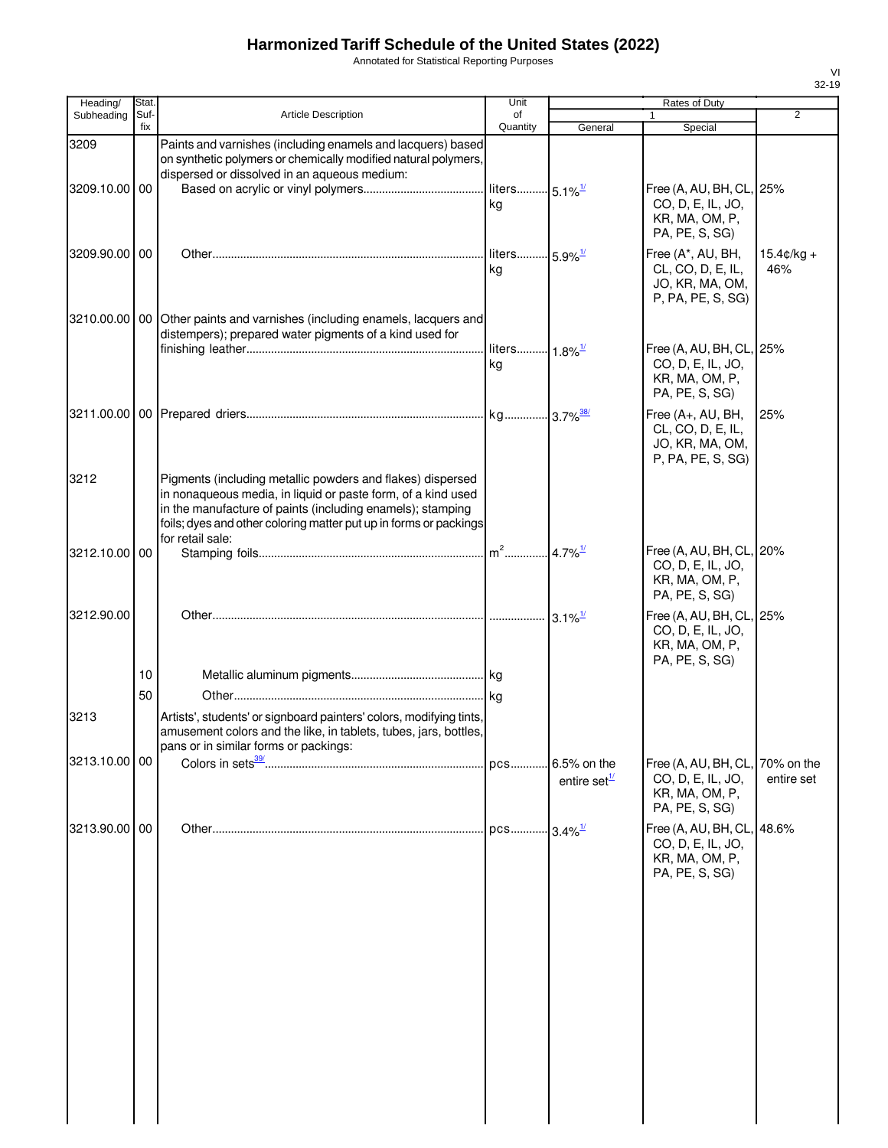Annotated for Statistical Reporting Purposes

| Heading/      | Stat.       |                                                                                                                                                                                                                                                                                   | Unit                            | Rates of Duty                      |                                                                                     |                             |
|---------------|-------------|-----------------------------------------------------------------------------------------------------------------------------------------------------------------------------------------------------------------------------------------------------------------------------------|---------------------------------|------------------------------------|-------------------------------------------------------------------------------------|-----------------------------|
| Subheading    | Suf-<br>fix | <b>Article Description</b>                                                                                                                                                                                                                                                        | of<br>Quantity                  | General                            | $\mathbf{1}$<br>Special                                                             | $\overline{2}$              |
| 3209          |             | Paints and varnishes (including enamels and lacquers) based<br>on synthetic polymers or chemically modified natural polymers,<br>dispersed or dissolved in an aqueous medium:                                                                                                     |                                 |                                    |                                                                                     |                             |
| 3209.10.00 00 |             |                                                                                                                                                                                                                                                                                   | liters 5.1% <sup>1/</sup><br>kg |                                    | Free (A, AU, BH, CL, 25%<br>CO, D, E, IL, JO,<br>KR, MA, OM, P,<br>PA, PE, S, SG)   |                             |
| 3209.90.00 00 |             |                                                                                                                                                                                                                                                                                   | liters 5.9% <sup>1/</sup><br>kg |                                    | Free (A*, AU, BH,<br>CL, CO, D, E, IL,<br>JO, KR, MA, OM,<br>P, PA, PE, S, SG)      | $15.4 \text{c/kg} +$<br>46% |
|               |             | 3210.00.00   00   Other paints and varnishes (including enamels, lacquers and<br>distempers); prepared water pigments of a kind used for                                                                                                                                          | liters 1.8% <sup>1/</sup>       |                                    | Free (A, AU, BH, CL, 25%                                                            |                             |
|               |             |                                                                                                                                                                                                                                                                                   | kg                              |                                    | CO, D, E, IL, JO,<br>KR, MA, OM, P,<br>PA, PE, S, SG)                               |                             |
|               |             |                                                                                                                                                                                                                                                                                   |                                 |                                    | Free (A+, AU, BH,<br>CL, CO, D, E, IL,<br>JO, KR, MA, OM,<br>P, PA, PE, S, SG)      | 25%                         |
| 3212          |             | Pigments (including metallic powders and flakes) dispersed<br>in nonaqueous media, in liquid or paste form, of a kind used<br>in the manufacture of paints (including enamels); stamping<br>foils; dyes and other coloring matter put up in forms or packings<br>for retail sale: |                                 |                                    |                                                                                     |                             |
| 3212.10.00 00 |             |                                                                                                                                                                                                                                                                                   |                                 |                                    | Free (A, AU, BH, CL, 20%<br>CO, D, E, IL, JO,<br>KR, MA, OM, P,<br>PA, PE, S, SG)   |                             |
| 3212.90.00    |             |                                                                                                                                                                                                                                                                                   |                                 | $3.1\%$ <sup>1/</sup>              | Free (A, AU, BH, CL, 25%<br>CO, D, E, IL, JO,<br>KR, MA, OM, P,<br>PA, PE, S, SG)   |                             |
|               | 10<br>50    |                                                                                                                                                                                                                                                                                   |                                 |                                    |                                                                                     |                             |
| 3213          |             | Artists', students' or signboard painters' colors, modifying tints,<br>amusement colors and the like, in tablets, tubes, jars, bottles,<br>pans or in similar forms or packings:                                                                                                  |                                 |                                    |                                                                                     |                             |
| 3213.10.00 00 |             |                                                                                                                                                                                                                                                                                   | pcs                             | 6.5% on the<br>entire set $^{1/2}$ | Free (A, AU, BH, CL,<br>CO, D, E, IL, JO,<br>KR, MA, OM, P,<br>PA, PE, S, SG)       | 70% on the<br>entire set    |
| 3213.90.00 00 |             |                                                                                                                                                                                                                                                                                   | pcs                             | $-13.4\%$ <sup>1/</sup>            | Free (A, AU, BH, CL, 48.6%<br>CO, D, E, IL, JO,<br>KR, MA, OM, P,<br>PA, PE, S, SG) |                             |
|               |             |                                                                                                                                                                                                                                                                                   |                                 |                                    |                                                                                     |                             |
|               |             |                                                                                                                                                                                                                                                                                   |                                 |                                    |                                                                                     |                             |
|               |             |                                                                                                                                                                                                                                                                                   |                                 |                                    |                                                                                     |                             |
|               |             |                                                                                                                                                                                                                                                                                   |                                 |                                    |                                                                                     |                             |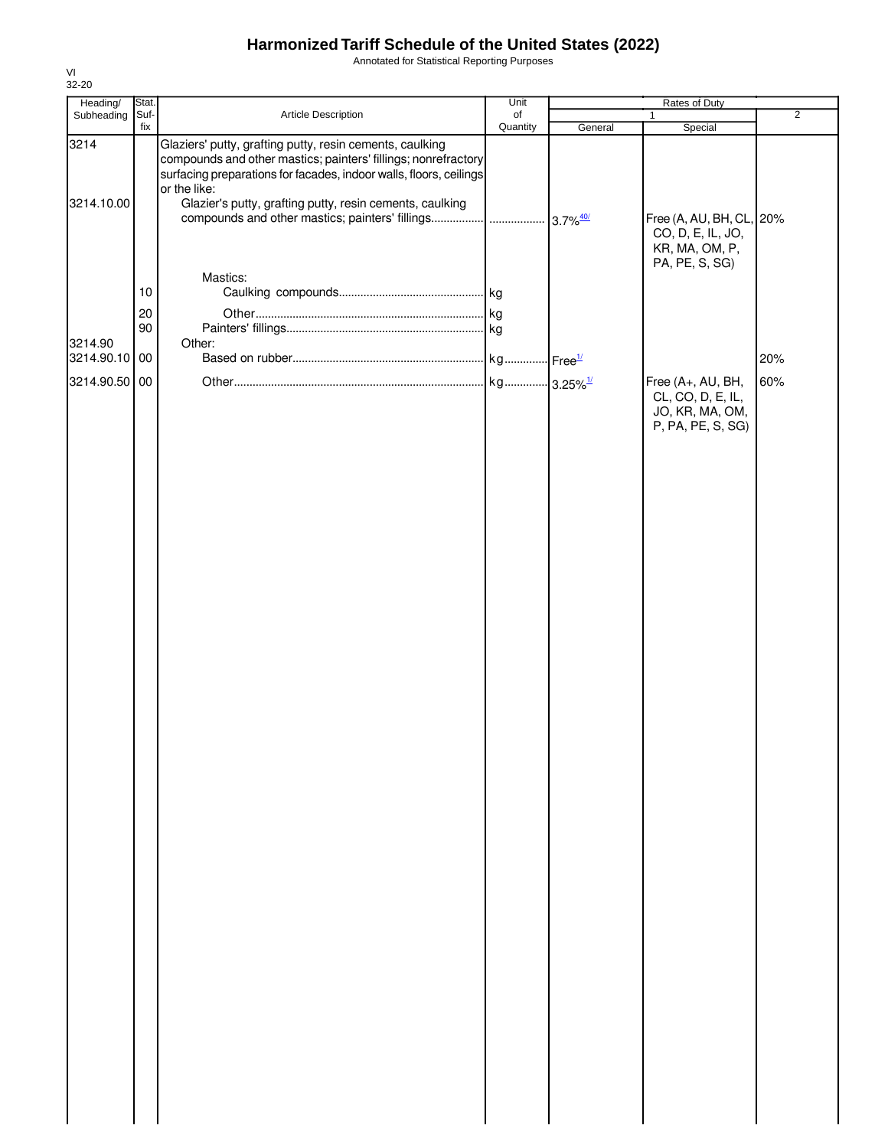Annotated for Statistical Reporting Purposes

| Heading/                                  | Stat.                |                                                                                                                                                                                                                                                                              | Unit           | Rates of Duty          |                                                                                                                    |                |  |
|-------------------------------------------|----------------------|------------------------------------------------------------------------------------------------------------------------------------------------------------------------------------------------------------------------------------------------------------------------------|----------------|------------------------|--------------------------------------------------------------------------------------------------------------------|----------------|--|
| Subheading                                | Suf-<br>fix          | Article Description                                                                                                                                                                                                                                                          | of<br>Quantity | General                | 1<br>Special                                                                                                       | $\overline{2}$ |  |
| 3214<br>3214.10.00                        |                      | Glaziers' putty, grafting putty, resin cements, caulking<br>compounds and other mastics; painters' fillings; nonrefractory<br>surfacing preparations for facades, indoor walls, floors, ceilings<br>or the like:<br>Glazier's putty, grafting putty, resin cements, caulking |                | $3.7\%$ <sup>40/</sup> | Free (A, AU, BH, CL, 20%<br>CO, D, E, IL, JO,                                                                      |                |  |
| 3214.90<br>3214.90.10 00<br>3214.90.50 00 | $10$<br>$20\,$<br>90 | Mastics:<br>Other:                                                                                                                                                                                                                                                           |                |                        | KR, MA, OM, P,<br>PA, PE, S, SG)<br>Free (A+, AU, BH,<br>CL, CO, D, E, IL,<br>JO, KR, MA, OM,<br>P, PA, PE, S, SG) | 20%<br>60%     |  |
|                                           |                      |                                                                                                                                                                                                                                                                              |                |                        |                                                                                                                    |                |  |
|                                           |                      |                                                                                                                                                                                                                                                                              |                |                        |                                                                                                                    |                |  |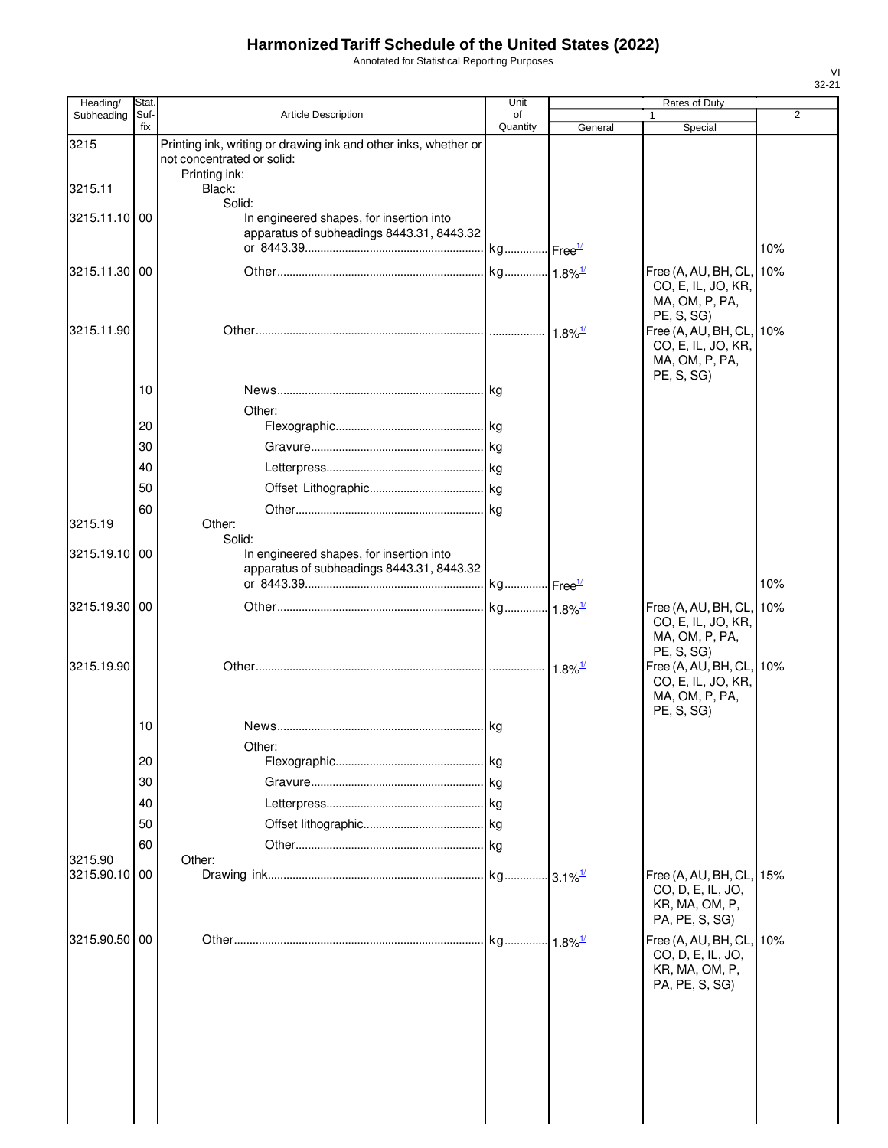Annotated for Statistical Reporting Purposes

| Heading/      | Stat.       |                                                                                               | Unit           |                       | Rates of Duty                                                                                    |     |
|---------------|-------------|-----------------------------------------------------------------------------------------------|----------------|-----------------------|--------------------------------------------------------------------------------------------------|-----|
| Subheading    | Suf-<br>fix | <b>Article Description</b>                                                                    | of<br>Quantity | General               | $\mathbf{1}$<br>Special                                                                          | 2   |
| 3215          |             | Printing ink, writing or drawing ink and other inks, whether or<br>not concentrated or solid: |                |                       |                                                                                                  |     |
| 3215.11       |             | Printing ink:<br>Black:<br>Solid:                                                             |                |                       |                                                                                                  |     |
| 3215.11.10 00 |             | In engineered shapes, for insertion into<br>apparatus of subheadings 8443.31, 8443.32         |                |                       |                                                                                                  |     |
|               |             |                                                                                               |                |                       |                                                                                                  | 10% |
| 3215.11.30 00 |             |                                                                                               |                |                       | Free (A, AU, BH, CL,<br>CO, E, IL, JO, KR,<br>MA, OM, P, PA,<br>PE, S, SG)                       | 10% |
| 3215.11.90    |             |                                                                                               |                | $1.8\%$ <sup>1/</sup> | Free (A, AU, BH, CL,<br>CO, E, IL, JO, KR,<br>MA, OM, P, PA,<br>PE, S, SG)                       | 10% |
|               | 10          |                                                                                               |                |                       |                                                                                                  |     |
|               |             | Other:                                                                                        |                |                       |                                                                                                  |     |
|               | 20          |                                                                                               |                |                       |                                                                                                  |     |
|               | 30          |                                                                                               |                |                       |                                                                                                  |     |
|               | 40          |                                                                                               |                |                       |                                                                                                  |     |
|               | 50          |                                                                                               |                |                       |                                                                                                  |     |
|               | 60          |                                                                                               |                |                       |                                                                                                  |     |
| 3215.19       |             | Other:<br>Solid:                                                                              |                |                       |                                                                                                  |     |
| 3215.19.10    | 00          | In engineered shapes, for insertion into<br>apparatus of subheadings 8443.31, 8443.32         |                |                       |                                                                                                  | 10% |
| 3215.19.30 00 |             |                                                                                               |                |                       | Free (A, AU, BH, CL,                                                                             | 10% |
| 3215.19.90    |             |                                                                                               |                | 1.8% $\frac{1}{2}$    | CO, E, IL, JO, KR,<br>MA, OM, P, PA,<br>PE, S, SG)<br>Free (A, AU, BH, CL,<br>CO, E, IL, JO, KR, | 10% |
|               | 10          |                                                                                               |                |                       | MA, OM, P, PA,<br>PE, S, SG)                                                                     |     |
|               |             | Other:                                                                                        |                |                       |                                                                                                  |     |
|               | 20          |                                                                                               |                |                       |                                                                                                  |     |
|               | 30          |                                                                                               |                |                       |                                                                                                  |     |
|               | 40          |                                                                                               |                |                       |                                                                                                  |     |
|               | 50          |                                                                                               |                |                       |                                                                                                  |     |
|               | 60          |                                                                                               |                |                       |                                                                                                  |     |
| 3215.90       |             | Other:                                                                                        |                |                       |                                                                                                  |     |
| 3215.90.10    | 00          |                                                                                               |                |                       | Free (A, AU, BH, CL,<br>CO, D, E, IL, JO,<br>KR, MA, OM, P,<br>PA, PE, S, SG)                    | 15% |
| 3215.90.50    | 00          |                                                                                               |                |                       | Free (A, AU, BH, CL,<br>CO, D, E, IL, JO,<br>KR, MA, OM, P,<br>PA, PE, S, SG)                    | 10% |
|               |             |                                                                                               |                |                       |                                                                                                  |     |
|               |             |                                                                                               |                |                       |                                                                                                  |     |